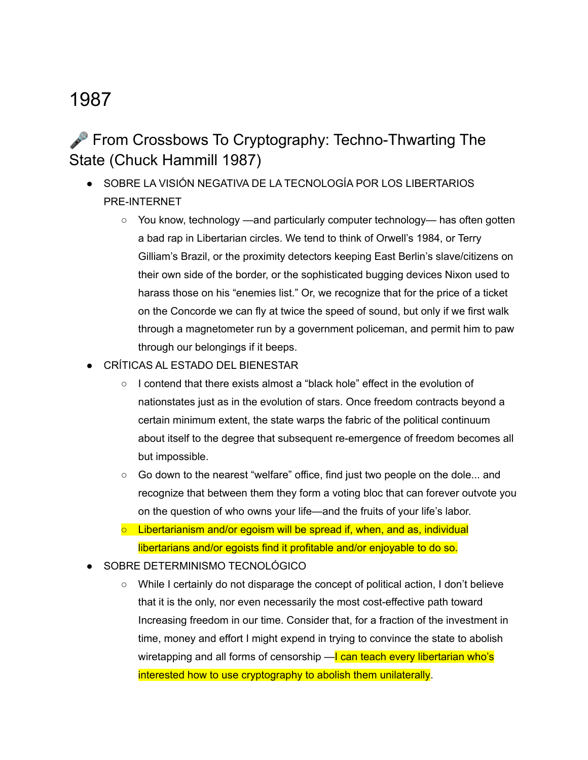#### **From Crossbows To Cryptography: Techno-Thwarting The** State (Chuck Hammill 1987)

- SOBRE LA VISIÓN NEGATIVA DE LA TECNOLOGÍA POR LOS LIBERTARIOS PRE-INTERNET
	- You know, technology —and particularly computer technology— has often gotten a bad rap in Libertarian circles. We tend to think of Orwell's 1984, or Terry Gilliam's Brazil, or the proximity detectors keeping East Berlin's slave/citizens on their own side of the border, or the sophisticated bugging devices Nixon used to harass those on his "enemies list." Or, we recognize that for the price of a ticket on the Concorde we can fly at twice the speed of sound, but only if we first walk through a magnetometer run by a government policeman, and permit him to paw through our belongings if it beeps.
- CRÍTICAS AL ESTADO DEL BIENESTAR
	- $\circ$  I contend that there exists almost a "black hole" effect in the evolution of nationstates just as in the evolution of stars. Once freedom contracts beyond a certain minimum extent, the state warps the fabric of the political continuum about itself to the degree that subsequent re-emergence of freedom becomes all but impossible.
	- Go down to the nearest "welfare" office, find just two people on the dole... and recognize that between them they form a voting bloc that can forever outvote you on the question of who owns your life—and the fruits of your life's labor.
	- $\circ$  Libertarianism and/or egoism will be spread if, when, and as, individual libertarians and/or egoists find it profitable and/or enjoyable to do so.
- SOBRE DETERMINISMO TECNOLÓGICO
	- While I certainly do not disparage the concept of political action, I don't believe that it is the only, nor even necessarily the most cost-effective path toward Increasing freedom in our time. Consider that, for a fraction of the investment in time, money and effort I might expend in trying to convince the state to abolish wiretapping and all forms of censorship —**I** can teach every libertarian who's interested how to use cryptography to abolish them unilaterally.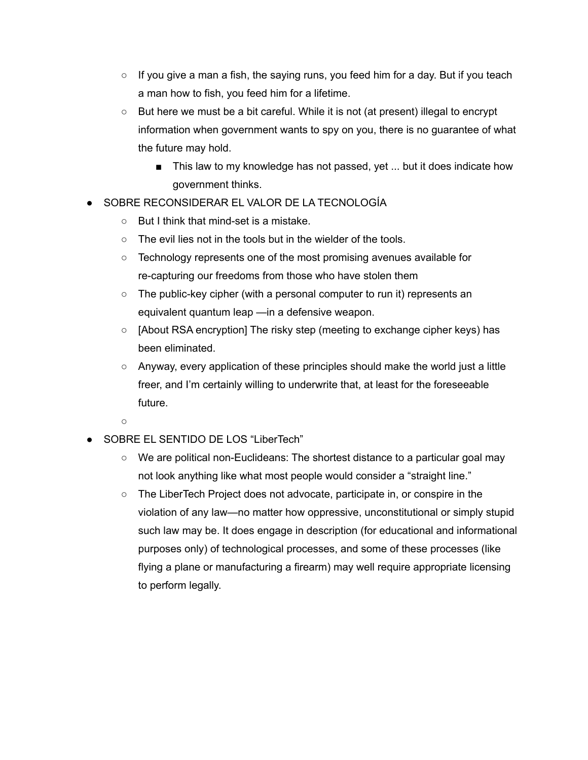- $\circ$  If you give a man a fish, the saying runs, you feed him for a day. But if you teach a man how to fish, you feed him for a lifetime.
- $\circ$  But here we must be a bit careful. While it is not (at present) illegal to encrypt information when government wants to spy on you, there is no guarantee of what the future may hold.
	- This law to my knowledge has not passed, yet ... but it does indicate how government thinks.
- SOBRE RECONSIDERAR EL VALOR DE LA TECNOLOGÍA
	- But I think that mind-set is a mistake.
	- The evil lies not in the tools but in the wielder of the tools.
	- Technology represents one of the most promising avenues available for re-capturing our freedoms from those who have stolen them
	- The public-key cipher (with a personal computer to run it) represents an equivalent quantum leap —in a defensive weapon.
	- [About RSA encryption] The risky step (meeting to exchange cipher keys) has been eliminated.
	- $\circ$  Anyway, every application of these principles should make the world just a little freer, and I'm certainly willing to underwrite that, at least for the foreseeable future.
	- $\bigcap$
- SOBRE EL SENTIDO DE LOS "LiberTech"
	- We are political non-Euclideans: The shortest distance to a particular goal may not look anything like what most people would consider a "straight line."
	- The LiberTech Project does not advocate, participate in, or conspire in the violation of any law—no matter how oppressive, unconstitutional or simply stupid such law may be. It does engage in description (for educational and informational purposes only) of technological processes, and some of these processes (like flying a plane or manufacturing a firearm) may well require appropriate licensing to perform legally.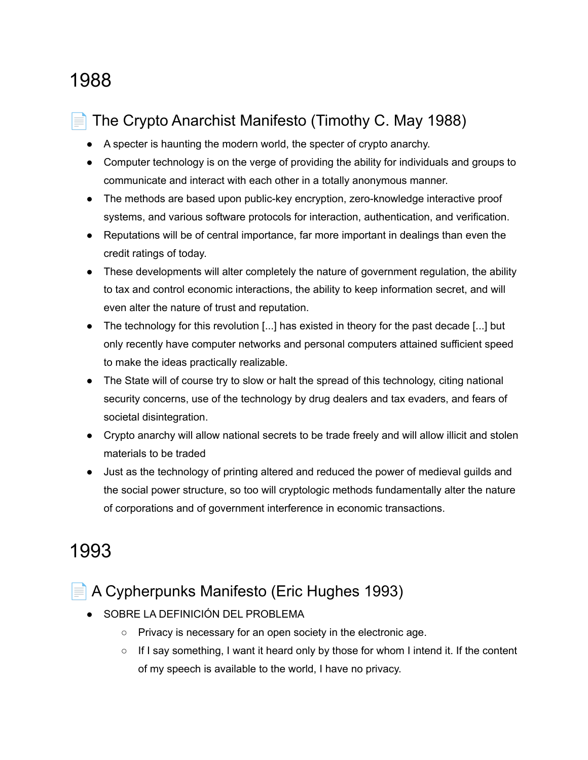#### $\equiv$  The Crypto Anarchist Manifesto (Timothy C. May 1988)

- A specter is haunting the modern world, the specter of crypto anarchy.
- Computer technology is on the verge of providing the ability for individuals and groups to communicate and interact with each other in a totally anonymous manner.
- The methods are based upon public-key encryption, zero-knowledge interactive proof systems, and various software protocols for interaction, authentication, and verification.
- Reputations will be of central importance, far more important in dealings than even the credit ratings of today.
- These developments will alter completely the nature of government regulation, the ability to tax and control economic interactions, the ability to keep information secret, and will even alter the nature of trust and reputation.
- The technology for this revolution [...] has existed in theory for the past decade [...] but only recently have computer networks and personal computers attained sufficient speed to make the ideas practically realizable.
- The State will of course try to slow or halt the spread of this technology, citing national security concerns, use of the technology by drug dealers and tax evaders, and fears of societal disintegration.
- Crypto anarchy will allow national secrets to be trade freely and will allow illicit and stolen materials to be traded
- Just as the technology of printing altered and reduced the power of medieval guilds and the social power structure, so too will cryptologic methods fundamentally alter the nature of corporations and of government interference in economic transactions.

## 1993

## A Cypherpunks Manifesto (Eric Hughes 1993)

- SOBRE LA DEFINICIÓN DEL PROBLEMA
	- Privacy is necessary for an open society in the electronic age.
	- $\circ$  If I say something, I want it heard only by those for whom I intend it. If the content of my speech is available to the world, I have no privacy.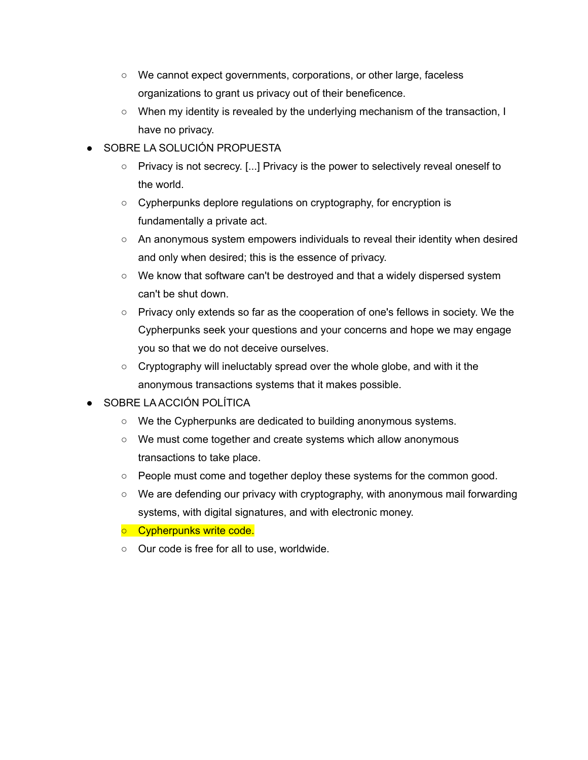- We cannot expect governments, corporations, or other large, faceless organizations to grant us privacy out of their beneficence.
- When my identity is revealed by the underlying mechanism of the transaction, I have no privacy.
- SOBRE LA SOLUCIÓN PROPUESTA
	- Privacy is not secrecy. [...] Privacy is the power to selectively reveal oneself to the world.
	- Cypherpunks deplore regulations on cryptography, for encryption is fundamentally a private act.
	- An anonymous system empowers individuals to reveal their identity when desired and only when desired; this is the essence of privacy.
	- We know that software can't be destroyed and that a widely dispersed system can't be shut down.
	- Privacy only extends so far as the cooperation of one's fellows in society. We the Cypherpunks seek your questions and your concerns and hope we may engage you so that we do not deceive ourselves.
	- Cryptography will ineluctably spread over the whole globe, and with it the anonymous transactions systems that it makes possible.
- SOBRE LA ACCIÓN POLÍTICA
	- We the Cypherpunks are dedicated to building anonymous systems.
	- We must come together and create systems which allow anonymous transactions to take place.
	- People must come and together deploy these systems for the common good.
	- We are defending our privacy with cryptography, with anonymous mail forwarding systems, with digital signatures, and with electronic money.
	- Cypherpunks write code.
	- Our code is free for all to use, worldwide.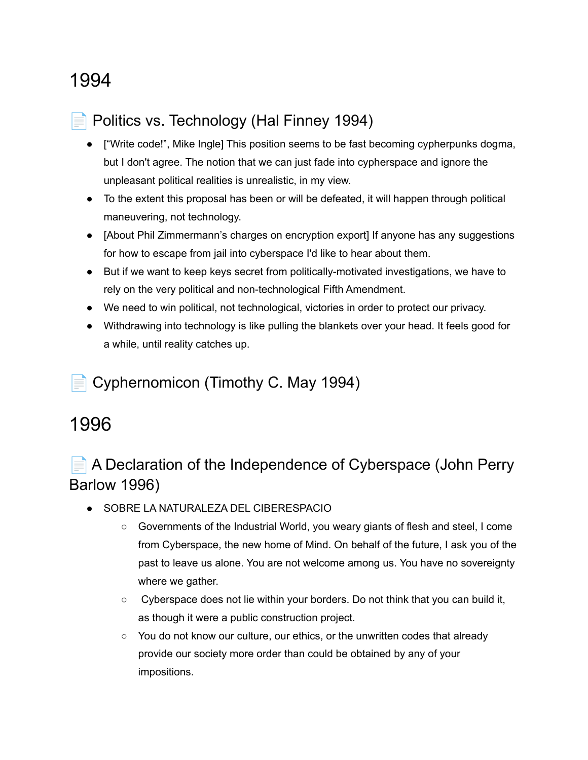

#### $\equiv$  Politics vs. Technology (Hal Finney 1994)

- ["Write code!", Mike Ingle] This position seems to be fast becoming cypherpunks dogma, but I don't agree. The notion that we can just fade into cypherspace and ignore the unpleasant political realities is unrealistic, in my view.
- To the extent this proposal has been or will be defeated, it will happen through political maneuvering, not technology.
- [About Phil Zimmermann's charges on encryption export] If anyone has any suggestions for how to escape from jail into cyberspace I'd like to hear about them.
- But if we want to keep keys secret from politically-motivated investigations, we have to rely on the very political and non-technological Fifth Amendment.
- We need to win political, not technological, victories in order to protect our privacy.
- Withdrawing into technology is like pulling the blankets over your head. It feels good for a while, until reality catches up.

## $\equiv$  Cyphernomicon (Timothy C. May 1994)

## 1996

#### $\equiv$  A Declaration of the Independence of Cyberspace (John Perry Barlow 1996)

- SOBRE LA NATURALEZA DEL CIBERESPACIO
	- Governments of the Industrial World, you weary giants of flesh and steel, I come from Cyberspace, the new home of Mind. On behalf of the future, I ask you of the past to leave us alone. You are not welcome among us. You have no sovereignty where we gather.
	- Cyberspace does not lie within your borders. Do not think that you can build it, as though it were a public construction project.
	- You do not know our culture, our ethics, or the unwritten codes that already provide our society more order than could be obtained by any of your impositions.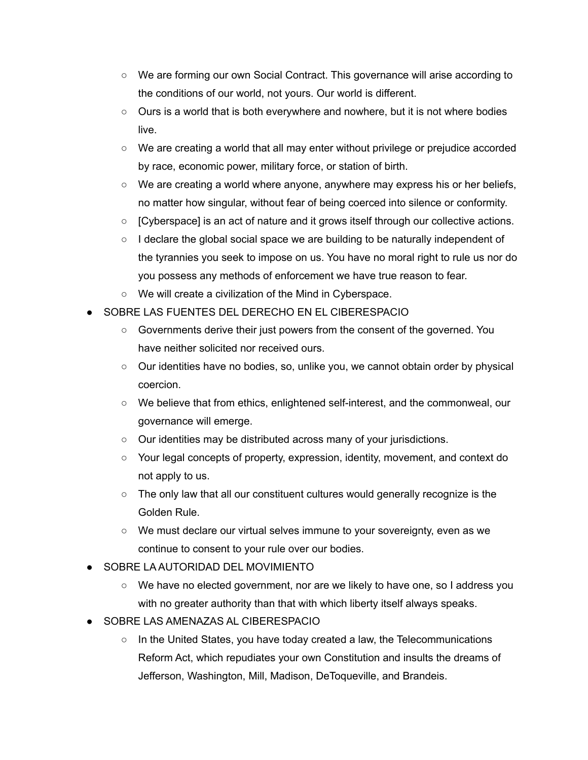- We are forming our own Social Contract. This governance will arise according to the conditions of our world, not yours. Our world is different.
- $\circ$  Ours is a world that is both everywhere and nowhere, but it is not where bodies live.
- We are creating a world that all may enter without privilege or prejudice accorded by race, economic power, military force, or station of birth.
- We are creating a world where anyone, anywhere may express his or her beliefs, no matter how singular, without fear of being coerced into silence or conformity.
- [Cyberspace] is an act of nature and it grows itself through our collective actions.
- I declare the global social space we are building to be naturally independent of the tyrannies you seek to impose on us. You have no moral right to rule us nor do you possess any methods of enforcement we have true reason to fear.
- We will create a civilization of the Mind in Cyberspace.
- SOBRE LAS FUENTES DEL DERECHO EN EL CIBERESPACIO
	- Governments derive their just powers from the consent of the governed. You have neither solicited nor received ours.
	- Our identities have no bodies, so, unlike you, we cannot obtain order by physical coercion.
	- We believe that from ethics, enlightened self-interest, and the commonweal, our governance will emerge.
	- Our identities may be distributed across many of your jurisdictions.
	- Your legal concepts of property, expression, identity, movement, and context do not apply to us.
	- The only law that all our constituent cultures would generally recognize is the Golden Rule.
	- We must declare our virtual selves immune to your sovereignty, even as we continue to consent to your rule over our bodies.
- SOBRE LA AUTORIDAD DEL MOVIMIENTO
	- We have no elected government, nor are we likely to have one, so I address you with no greater authority than that with which liberty itself always speaks.
- SOBRE LAS AMENAZAS AL CIBERESPACIO
	- $\circ$  In the United States, you have today created a law, the Telecommunications Reform Act, which repudiates your own Constitution and insults the dreams of Jefferson, Washington, Mill, Madison, DeToqueville, and Brandeis.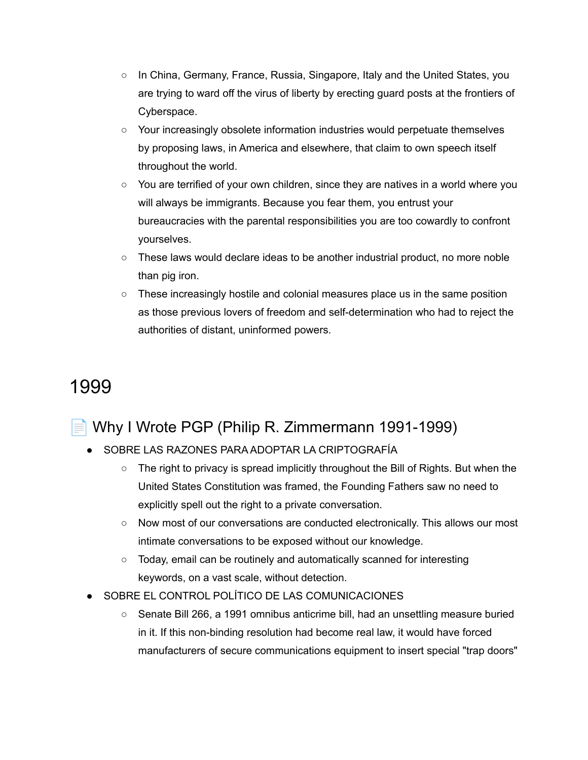- In China, Germany, France, Russia, Singapore, Italy and the United States, you are trying to ward off the virus of liberty by erecting guard posts at the frontiers of Cyberspace.
- Your increasingly obsolete information industries would perpetuate themselves by proposing laws, in America and elsewhere, that claim to own speech itself throughout the world.
- You are terrified of your own children, since they are natives in a world where you will always be immigrants. Because you fear them, you entrust your bureaucracies with the parental responsibilities you are too cowardly to confront yourselves.
- These laws would declare ideas to be another industrial product, no more noble than pig iron.
- These increasingly hostile and colonial measures place us in the same position as those previous lovers of freedom and self-determination who had to reject the authorities of distant, uninformed powers.

#### $\equiv$  Why I Wrote PGP (Philip R. Zimmermann 1991-1999)

- SOBRE LAS RAZONES PARA ADOPTAR LA CRIPTOGRAFÍA
	- $\circ$  The right to privacy is spread implicitly throughout the Bill of Rights. But when the United States Constitution was framed, the Founding Fathers saw no need to explicitly spell out the right to a private conversation.
	- Now most of our conversations are conducted electronically. This allows our most intimate conversations to be exposed without our knowledge.
	- Today, email can be routinely and automatically scanned for interesting keywords, on a vast scale, without detection.
- SOBRE EL CONTROL POLÍTICO DE LAS COMUNICACIONES
	- Senate Bill 266, a 1991 omnibus anticrime bill, had an unsettling measure buried in it. If this non-binding resolution had become real law, it would have forced manufacturers of secure communications equipment to insert special "trap doors"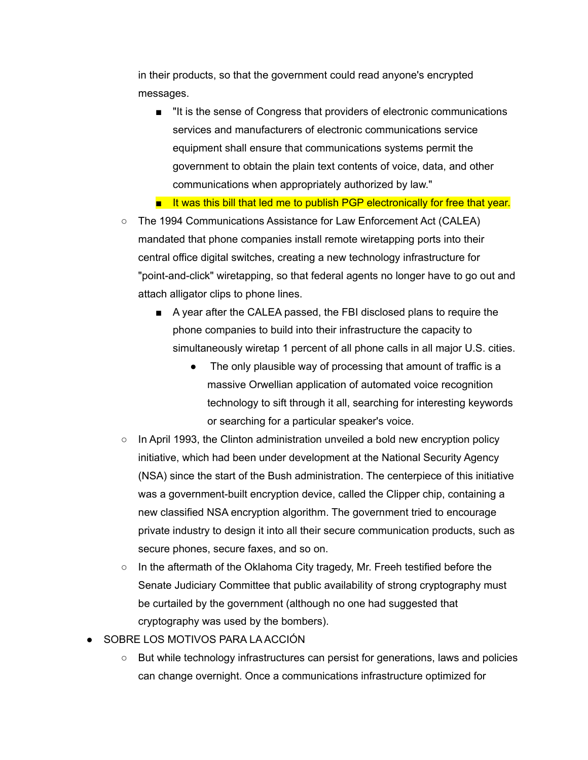in their products, so that the government could read anyone's encrypted messages.

■ "It is the sense of Congress that providers of electronic communications services and manufacturers of electronic communications service equipment shall ensure that communications systems permit the government to obtain the plain text contents of voice, data, and other communications when appropriately authorized by law."

■ It was this bill that led me to publish PGP electronically for free that year.

- The 1994 Communications Assistance for Law Enforcement Act (CALEA) mandated that phone companies install remote wiretapping ports into their central office digital switches, creating a new technology infrastructure for "point-and-click" wiretapping, so that federal agents no longer have to go out and attach alligator clips to phone lines.
	- A year after the CALEA passed, the FBI disclosed plans to require the phone companies to build into their infrastructure the capacity to simultaneously wiretap 1 percent of all phone calls in all major U.S. cities.
		- The only plausible way of processing that amount of traffic is a massive Orwellian application of automated voice recognition technology to sift through it all, searching for interesting keywords or searching for a particular speaker's voice.
- $\circ$  In April 1993, the Clinton administration unveiled a bold new encryption policy initiative, which had been under development at the National Security Agency (NSA) since the start of the Bush administration. The centerpiece of this initiative was a government-built encryption device, called the Clipper chip, containing a new classified NSA encryption algorithm. The government tried to encourage private industry to design it into all their secure communication products, such as secure phones, secure faxes, and so on.
- $\circ$  In the aftermath of the Oklahoma City tragedy, Mr. Freeh testified before the Senate Judiciary Committee that public availability of strong cryptography must be curtailed by the government (although no one had suggested that cryptography was used by the bombers).
- SOBRE LOS MOTIVOS PARA LA ACCIÓN
	- But while technology infrastructures can persist for generations, laws and policies can change overnight. Once a communications infrastructure optimized for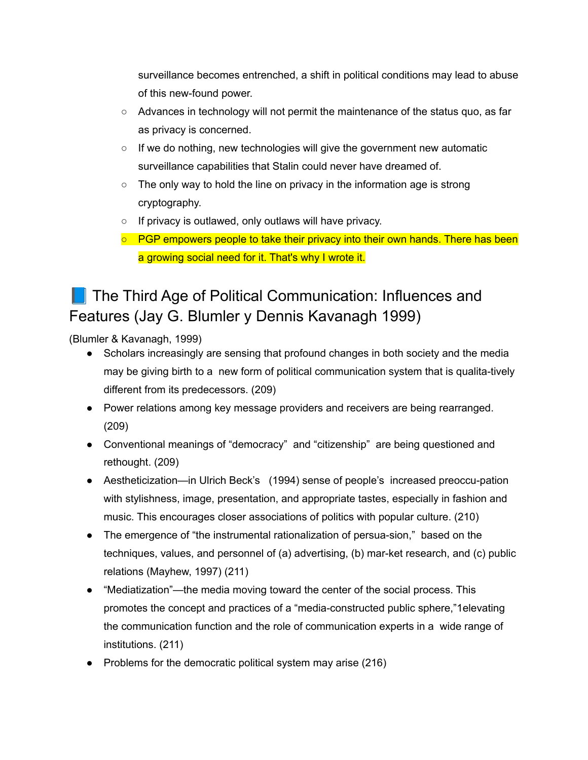surveillance becomes entrenched, a shift in political conditions may lead to abuse of this new-found power.

- $\circ$  Advances in technology will not permit the maintenance of the status quo, as far as privacy is concerned.
- $\circ$  If we do nothing, new technologies will give the government new automatic surveillance capabilities that Stalin could never have dreamed of.
- The only way to hold the line on privacy in the information age is strong cryptography.
- If privacy is outlawed, only outlaws will have privacy.
- PGP empowers people to take their privacy into their own hands. There has been a growing social need for it. That's why I wrote it.

#### **The Third Age of Political Communication: Influences and** Features (Jay G. Blumler y Dennis Kavanagh 1999)

(Blumler & Kavanagh, 1999)

- Scholars increasingly are sensing that profound changes in both society and the media may be giving birth to a new form of political communication system that is qualita-tively different from its predecessors. (209)
- Power relations among key message providers and receivers are being rearranged. (209)
- Conventional meanings of "democracy" and "citizenship" are being questioned and rethought. (209)
- Aestheticization—in Ulrich Beck's (1994) sense of people's increased preoccu-pation with stylishness, image, presentation, and appropriate tastes, especially in fashion and music. This encourages closer associations of politics with popular culture. (210)
- The emergence of "the instrumental rationalization of persua-sion," based on the techniques, values, and personnel of (a) advertising, (b) mar-ket research, and (c) public relations (Mayhew, 1997) (211)
- "Mediatization"—the media moving toward the center of the social process. This promotes the concept and practices of a "media-constructed public sphere,"1elevating the communication function and the role of communication experts in a wide range of institutions. (211)
- Problems for the democratic political system may arise (216)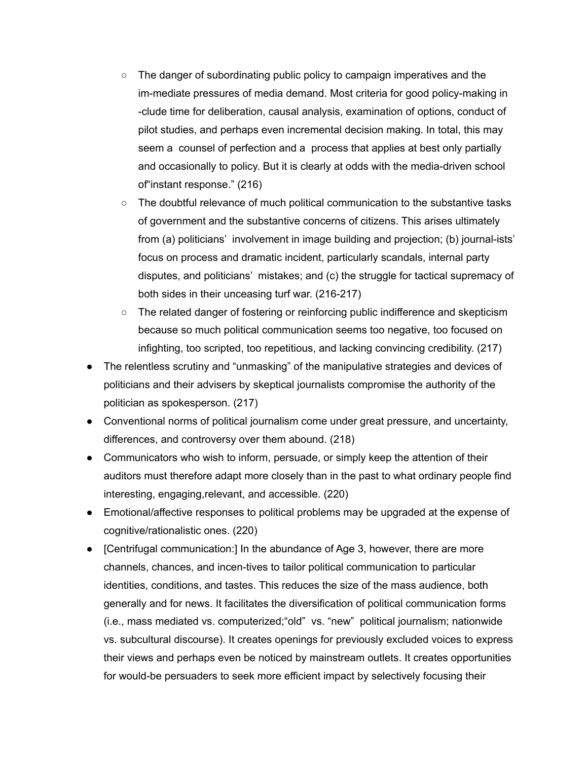- $\circ$  The danger of subordinating public policy to campaign imperatives and the im-mediate pressures of media demand. Most criteria for good policy-making in -clude time for deliberation, causal analysis, examination of options, conduct of pilot studies, and perhaps even incremental decision making. In total, this may seem a counsel of perfection and a process that applies at best only partially and occasionally to policy. But it is clearly at odds with the media-driven school of"instant response." (216)
- The doubtful relevance of much political communication to the substantive tasks of government and the substantive concerns of citizens. This arises ultimately from (a) politicians' involvement in image building and projection; (b) journal-ists' focus on process and dramatic incident, particularly scandals, internal party disputes, and politicians' mistakes; and (c) the struggle for tactical supremacy of both sides in their unceasing turf war. (216-217)
- The related danger of fostering or reinforcing public indifference and skepticism because so much political communication seems too negative, too focused on infighting, too scripted, too repetitious, and lacking convincing credibility. (217)
- The relentless scrutiny and "unmasking" of the manipulative strategies and devices of politicians and their advisers by skeptical journalists compromise the authority of the politician as spokesperson. (217)
- Conventional norms of political journalism come under great pressure, and uncertainty, differences, and controversy over them abound. (218)
- Communicators who wish to inform, persuade, or simply keep the attention of their auditors must therefore adapt more closely than in the past to what ordinary people find interesting, engaging,relevant, and accessible. (220)
- Emotional/affective responses to political problems may be upgraded at the expense of cognitive/rationalistic ones. (220)
- [Centrifugal communication:] In the abundance of Age 3, however, there are more channels, chances, and incen-tives to tailor political communication to particular identities, conditions, and tastes. This reduces the size of the mass audience, both generally and for news. It facilitates the diversification of political communication forms (i.e., mass mediated vs. computerized;"old" vs. "new" political journalism; nationwide vs. subcultural discourse). It creates openings for previously excluded voices to express their views and perhaps even be noticed by mainstream outlets. It creates opportunities for would-be persuaders to seek more efficient impact by selectively focusing their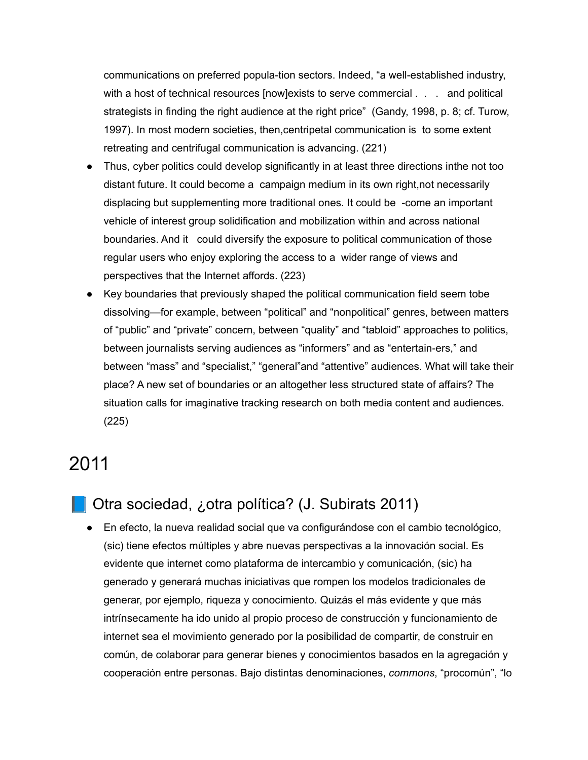communications on preferred popula-tion sectors. Indeed, "a well-established industry, with a host of technical resources [now]exists to serve commercial . . . and political strategists in finding the right audience at the right price" (Gandy, 1998, p. 8; cf. Turow, 1997). In most modern societies, then,centripetal communication is to some extent retreating and centrifugal communication is advancing. (221)

- Thus, cyber politics could develop significantly in at least three directions inthe not too distant future. It could become a campaign medium in its own right,not necessarily displacing but supplementing more traditional ones. It could be -come an important vehicle of interest group solidification and mobilization within and across national boundaries. And it could diversify the exposure to political communication of those regular users who enjoy exploring the access to a wider range of views and perspectives that the Internet affords. (223)
- Key boundaries that previously shaped the political communication field seem tobe dissolving—for example, between "political" and "nonpolitical" genres, between matters of "public" and "private" concern, between "quality" and "tabloid" approaches to politics, between journalists serving audiences as "informers" and as "entertain-ers," and between "mass" and "specialist," "general"and "attentive" audiences. What will take their place? A new set of boundaries or an altogether less structured state of affairs? The situation calls for imaginative tracking research on both media content and audiences. (225)

## 2011

#### Otra sociedad, ¿otra política? (J. Subirats 2011)

● En efecto, la nueva realidad social que va configurándose con el cambio tecnológico, (sic) tiene efectos múltiples y abre nuevas perspectivas a la innovación social. Es evidente que internet como plataforma de intercambio y comunicación, (sic) ha generado y generará muchas iniciativas que rompen los modelos tradicionales de generar, por ejemplo, riqueza y conocimiento. Quizás el más evidente y que más intrínsecamente ha ido unido al propio proceso de construcción y funcionamiento de internet sea el movimiento generado por la posibilidad de compartir, de construir en común, de colaborar para generar bienes y conocimientos basados en la agregación y cooperación entre personas. Bajo distintas denominaciones, *commons*, "procomún", "lo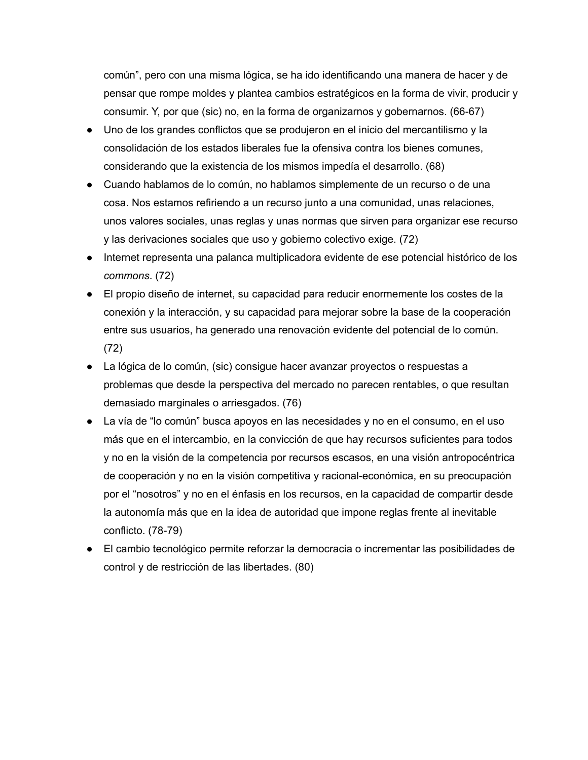común", pero con una misma lógica, se ha ido identificando una manera de hacer y de pensar que rompe moldes y plantea cambios estratégicos en la forma de vivir, producir y consumir. Y, por que (sic) no, en la forma de organizarnos y gobernarnos. (66-67)

- Uno de los grandes conflictos que se produjeron en el inicio del mercantilismo y la consolidación de los estados liberales fue la ofensiva contra los bienes comunes, considerando que la existencia de los mismos impedía el desarrollo. (68)
- Cuando hablamos de lo común, no hablamos simplemente de un recurso o de una cosa. Nos estamos refiriendo a un recurso junto a una comunidad, unas relaciones, unos valores sociales, unas reglas y unas normas que sirven para organizar ese recurso y las derivaciones sociales que uso y gobierno colectivo exige. (72)
- Internet representa una palanca multiplicadora evidente de ese potencial histórico de los *commons*. (72)
- El propio diseño de internet, su capacidad para reducir enormemente los costes de la conexión y la interacción, y su capacidad para mejorar sobre la base de la cooperación entre sus usuarios, ha generado una renovación evidente del potencial de lo común. (72)
- La lógica de lo común, (sic) consigue hacer avanzar proyectos o respuestas a problemas que desde la perspectiva del mercado no parecen rentables, o que resultan demasiado marginales o arriesgados. (76)
- La vía de "lo común" busca apoyos en las necesidades y no en el consumo, en el uso más que en el intercambio, en la convicción de que hay recursos suficientes para todos y no en la visión de la competencia por recursos escasos, en una visión antropocéntrica de cooperación y no en la visión competitiva y racional-económica, en su preocupación por el "nosotros" y no en el énfasis en los recursos, en la capacidad de compartir desde la autonomía más que en la idea de autoridad que impone reglas frente al inevitable conflicto. (78-79)
- El cambio tecnológico permite reforzar la democracia o incrementar las posibilidades de control y de restricción de las libertades. (80)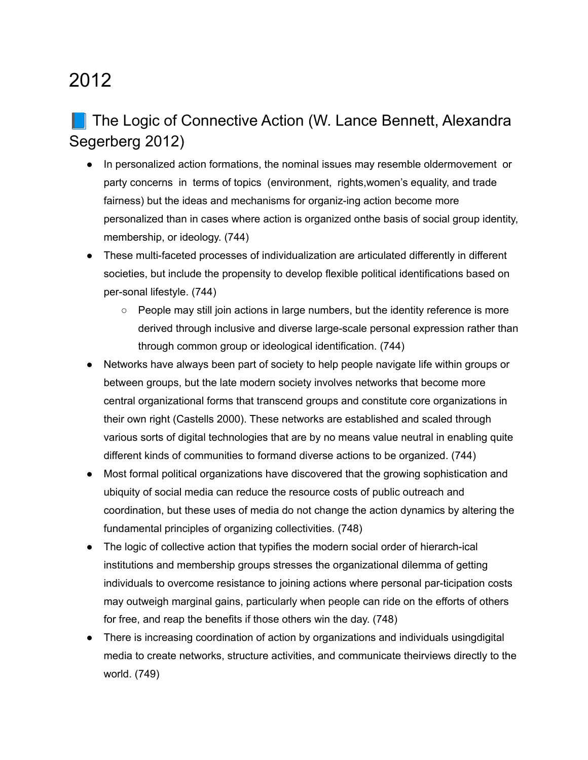#### **The Logic of Connective Action (W. Lance Bennett, Alexandra** Segerberg 2012)

- In personalized action formations, the nominal issues may resemble oldermovement or party concerns in terms of topics (environment, rights,women's equality, and trade fairness) but the ideas and mechanisms for organiz-ing action become more personalized than in cases where action is organized onthe basis of social group identity, membership, or ideology. (744)
- These multi-faceted processes of individualization are articulated differently in different societies, but include the propensity to develop flexible political identifications based on per-sonal lifestyle. (744)
	- $\circ$  People may still join actions in large numbers, but the identity reference is more derived through inclusive and diverse large-scale personal expression rather than through common group or ideological identification. (744)
- Networks have always been part of society to help people navigate life within groups or between groups, but the late modern society involves networks that become more central organizational forms that transcend groups and constitute core organizations in their own right (Castells 2000). These networks are established and scaled through various sorts of digital technologies that are by no means value neutral in enabling quite different kinds of communities to formand diverse actions to be organized. (744)
- Most formal political organizations have discovered that the growing sophistication and ubiquity of social media can reduce the resource costs of public outreach and coordination, but these uses of media do not change the action dynamics by altering the fundamental principles of organizing collectivities. (748)
- The logic of collective action that typifies the modern social order of hierarch-ical institutions and membership groups stresses the organizational dilemma of getting individuals to overcome resistance to joining actions where personal par-ticipation costs may outweigh marginal gains, particularly when people can ride on the efforts of others for free, and reap the benefits if those others win the day. (748)
- There is increasing coordination of action by organizations and individuals usingdigital media to create networks, structure activities, and communicate theirviews directly to the world. (749)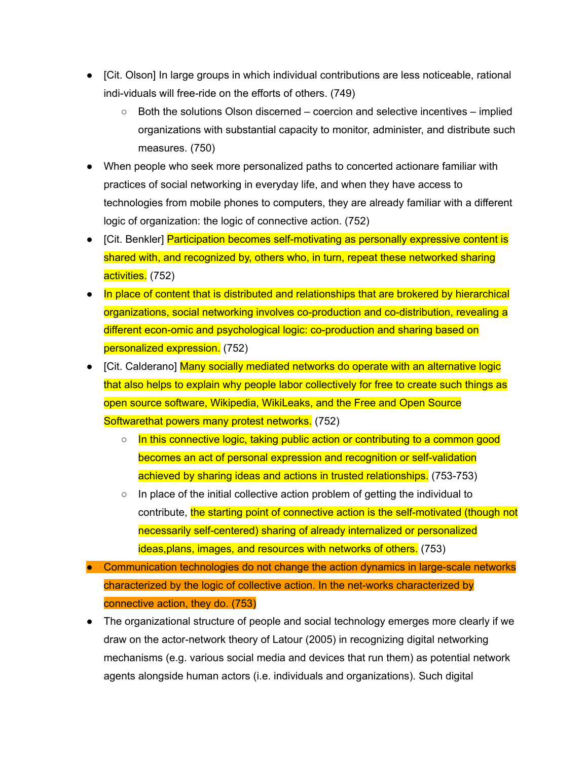- [Cit. Olson] In large groups in which individual contributions are less noticeable, rational indi-viduals will free-ride on the efforts of others. (749)
	- $\circ$  Both the solutions Olson discerned coercion and selective incentives implied organizations with substantial capacity to monitor, administer, and distribute such measures. (750)
- When people who seek more personalized paths to concerted actionare familiar with practices of social networking in everyday life, and when they have access to technologies from mobile phones to computers, they are already familiar with a different logic of organization: the logic of connective action. (752)
- [Cit. Benkler] Participation becomes self-motivating as personally expressive content is shared with, and recognized by, others who, in turn, repeat these networked sharing activities. (752)
- In place of content that is distributed and relationships that are brokered by hierarchical organizations, social networking involves co-production and co-distribution, revealing a different econ-omic and psychological logic: co-production and sharing based on personalized expression. (752)
- [Cit. Calderano] Many socially mediated networks do operate with an alternative logic that also helps to explain why people labor collectively for free to create such things as open source software, Wikipedia, WikiLeaks, and the Free and Open Source Softwarethat powers many protest networks. (752)
	- In this connective logic, taking public action or contributing to a common good becomes an act of personal expression and recognition or self-validation achieved by sharing ideas and actions in trusted relationships. (753-753)
	- $\circ$  In place of the initial collective action problem of getting the individual to contribute, the starting point of connective action is the self-motivated (though not necessarily self-centered) sharing of already internalized or personalized ideas,plans, images, and resources with networks of others. (753)
- Communication technologies do not change the action dynamics in large-scale networks characterized by the logic of collective action. In the net-works characterized by connective action, they do. (753)
- The organizational structure of people and social technology emerges more clearly if we draw on the actor-network theory of Latour (2005) in recognizing digital networking mechanisms (e.g. various social media and devices that run them) as potential network agents alongside human actors (i.e. individuals and organizations). Such digital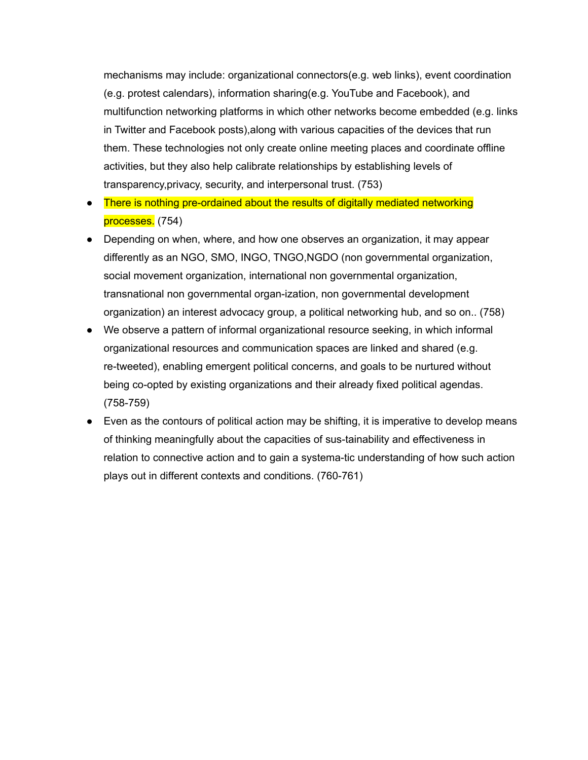mechanisms may include: organizational connectors(e.g. web links), event coordination (e.g. protest calendars), information sharing(e.g. YouTube and Facebook), and multifunction networking platforms in which other networks become embedded (e.g. links in Twitter and Facebook posts),along with various capacities of the devices that run them. These technologies not only create online meeting places and coordinate offline activities, but they also help calibrate relationships by establishing levels of transparency,privacy, security, and interpersonal trust. (753)

- There is nothing pre-ordained about the results of digitally mediated networking processes. (754)
- Depending on when, where, and how one observes an organization, it may appear differently as an NGO, SMO, INGO, TNGO,NGDO (non governmental organization, social movement organization, international non governmental organization, transnational non governmental organ-ization, non governmental development organization) an interest advocacy group, a political networking hub, and so on.. (758)
- We observe a pattern of informal organizational resource seeking, in which informal organizational resources and communication spaces are linked and shared (e.g. re-tweeted), enabling emergent political concerns, and goals to be nurtured without being co-opted by existing organizations and their already fixed political agendas. (758-759)
- Even as the contours of political action may be shifting, it is imperative to develop means of thinking meaningfully about the capacities of sus-tainability and effectiveness in relation to connective action and to gain a systema-tic understanding of how such action plays out in different contexts and conditions. (760-761)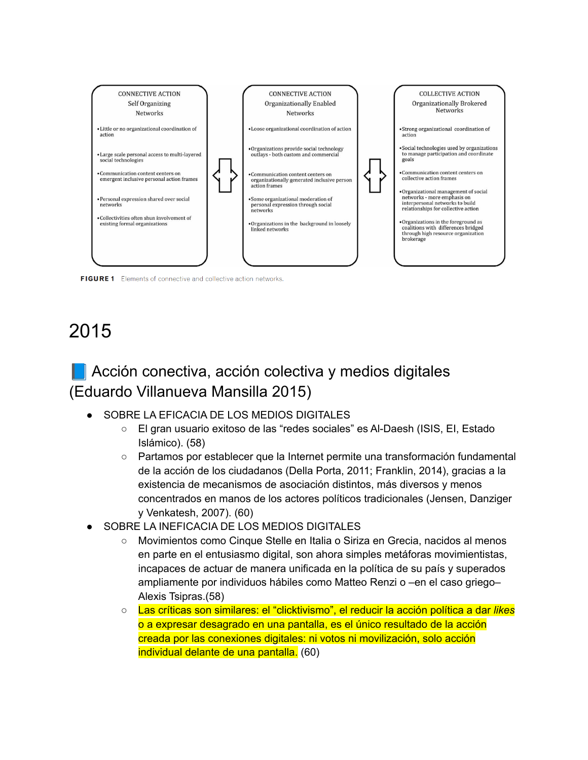

FIGURE 1 Elements of connective and collective action networks.

#### **Acción conectiva, acción colectiva y medios digitales** (Eduardo Villanueva Mansilla 2015)

- SOBRE LA EFICACIA DE LOS MEDIOS DIGITALES
	- El gran usuario exitoso de las "redes sociales" es Al-Daesh (ISIS, EI, Estado Islámico). (58)
	- Partamos por establecer que la Internet permite una transformación fundamental de la acción de los ciudadanos (Della Porta, 2011; Franklin, 2014), gracias a la existencia de mecanismos de asociación distintos, más diversos y menos concentrados en manos de los actores políticos tradicionales (Jensen, Danziger y Venkatesh, 2007). (60)
- SOBRE LA INEFICACIA DE LOS MEDIOS DIGITALES
	- Movimientos como Cinque Stelle en Italia o Siriza en Grecia, nacidos al menos en parte en el entusiasmo digital, son ahora simples metáforas movimientistas, incapaces de actuar de manera unificada en la política de su país y superados ampliamente por individuos hábiles como Matteo Renzi o –en el caso griego– Alexis Tsipras.(58)
	- Las críticas son similares: el "clicktivismo", el reducir la acción política a dar *likes* o a expresar desagrado en una pantalla, es el único resultado de la acción creada por las conexiones digitales: ni votos ni movilización, solo acción individual delante de una pantalla. (60)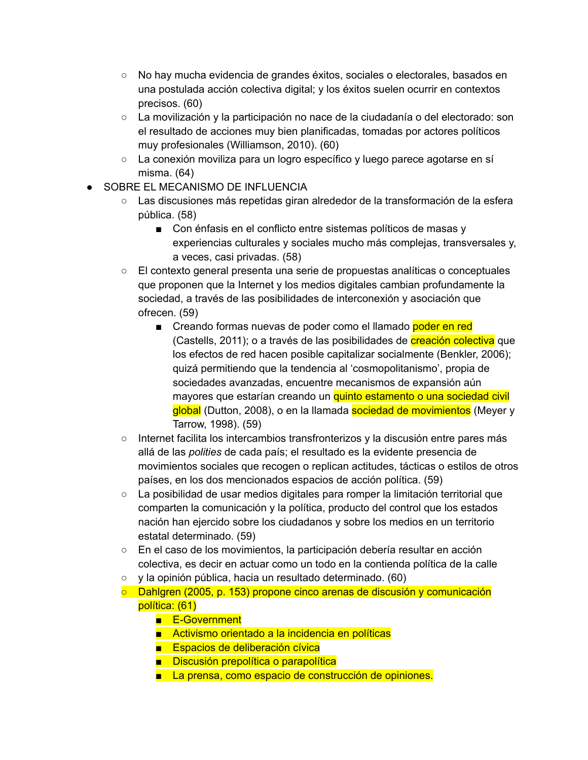- No hay mucha evidencia de grandes éxitos, sociales o electorales, basados en una postulada acción colectiva digital; y los éxitos suelen ocurrir en contextos precisos. (60)
- La movilización y la participación no nace de la ciudadanía o del electorado: son el resultado de acciones muy bien planificadas, tomadas por actores políticos muy profesionales (Williamson, 2010). (60)
- La conexión moviliza para un logro específico y luego parece agotarse en sí misma. (64)
- SOBRE EL MECANISMO DE INFLUENCIA
	- Las discusiones más repetidas giran alrededor de la transformación de la esfera pública. (58)
		- Con énfasis en el conflicto entre sistemas políticos de masas y experiencias culturales y sociales mucho más complejas, transversales y, a veces, casi privadas. (58)
	- El contexto general presenta una serie de propuestas analíticas o conceptuales que proponen que la Internet y los medios digitales cambian profundamente la sociedad, a través de las posibilidades de interconexión y asociación que ofrecen. (59)
		- Creando formas nuevas de poder como el llamado poder en red (Castells, 2011); o a través de las posibilidades de *creación colectiva* que los efectos de red hacen posible capitalizar socialmente (Benkler, 2006); quizá permitiendo que la tendencia al 'cosmopolitanismo', propia de sociedades avanzadas, encuentre mecanismos de expansión aún mayores que estarían creando un quinto estamento o una sociedad civil global (Dutton, 2008), o en la llamada sociedad de movimientos (Meyer y Tarrow, 1998). (59)
	- Internet facilita los intercambios transfronterizos y la discusión entre pares más allá de las *polities* de cada país; el resultado es la evidente presencia de movimientos sociales que recogen o replican actitudes, tácticas o estilos de otros países, en los dos mencionados espacios de acción política. (59)
	- La posibilidad de usar medios digitales para romper la limitación territorial que comparten la comunicación y la política, producto del control que los estados nación han ejercido sobre los ciudadanos y sobre los medios en un territorio estatal determinado. (59)
	- En el caso de los movimientos, la participación debería resultar en acción colectiva, es decir en actuar como un todo en la contienda política de la calle
	- y la opinión pública, hacia un resultado determinado. (60)
	- Dahlgren (2005, p. 153) propone cinco arenas de discusión y comunicación política: (61)
		- E-Government
		- Activismo orientado a la incidencia en políticas
		- Espacios de deliberación cívica
		- Discusión prepolítica o parapolítica
		- La prensa, como espacio de construcción de opiniones.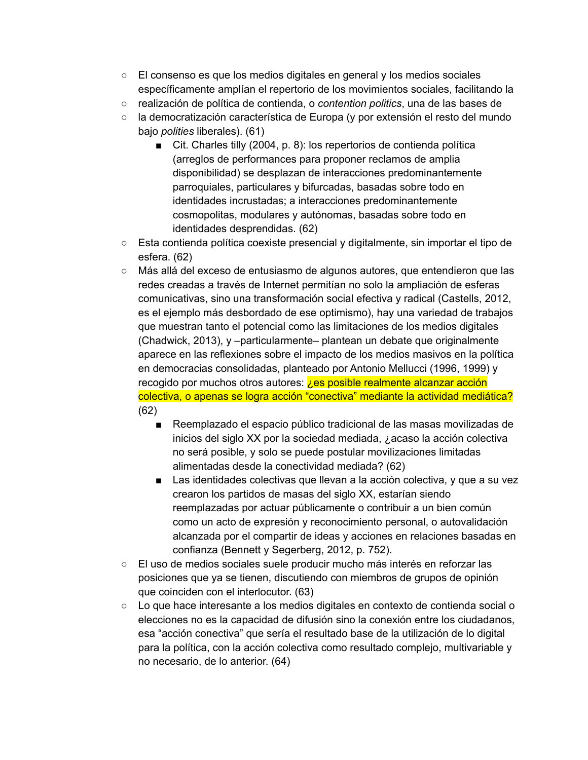- El consenso es que los medios digitales en general y los medios sociales específicamente amplían el repertorio de los movimientos sociales, facilitando la
- realización de política de contienda, o *contention politics*, una de las bases de
- la democratización característica de Europa (y por extensión el resto del mundo bajo *polities* liberales). (61)
	- Cit. Charles tilly (2004, p. 8): los repertorios de contienda política (arreglos de performances para proponer reclamos de amplia disponibilidad) se desplazan de interacciones predominantemente parroquiales, particulares y bifurcadas, basadas sobre todo en identidades incrustadas; a interacciones predominantemente cosmopolitas, modulares y autónomas, basadas sobre todo en identidades desprendidas. (62)
- Esta contienda política coexiste presencial y digitalmente, sin importar el tipo de esfera. (62)
- Más allá del exceso de entusiasmo de algunos autores, que entendieron que las redes creadas a través de Internet permitían no solo la ampliación de esferas comunicativas, sino una transformación social efectiva y radical (Castells, 2012, es el ejemplo más desbordado de ese optimismo), hay una variedad de trabajos que muestran tanto el potencial como las limitaciones de los medios digitales (Chadwick, 2013), y –particularmente– plantean un debate que originalmente aparece en las reflexiones sobre el impacto de los medios masivos en la política en democracias consolidadas, planteado por Antonio Mellucci (1996, 1999) y recogido por muchos otros autores: *i* es posible realmente alcanzar acción colectiva, o apenas se logra acción "conectiva" mediante la actividad mediática? (62)
	- Reemplazado el espacio público tradicional de las masas movilizadas de inicios del siglo XX por la sociedad mediada, ¿acaso la acción colectiva no será posible, y solo se puede postular movilizaciones limitadas alimentadas desde la conectividad mediada? (62)
	- Las identidades colectivas que llevan a la acción colectiva, y que a su vez crearon los partidos de masas del siglo XX, estarían siendo reemplazadas por actuar públicamente o contribuir a un bien común como un acto de expresión y reconocimiento personal, o autovalidación alcanzada por el compartir de ideas y acciones en relaciones basadas en confianza (Bennett y Segerberg, 2012, p. 752).
- El uso de medios sociales suele producir mucho más interés en reforzar las posiciones que ya se tienen, discutiendo con miembros de grupos de opinión que coinciden con el interlocutor. (63)
- Lo que hace interesante a los medios digitales en contexto de contienda social o elecciones no es la capacidad de difusión sino la conexión entre los ciudadanos, esa "acción conectiva" que sería el resultado base de la utilización de lo digital para la política, con la acción colectiva como resultado complejo, multivariable y no necesario, de lo anterior. (64)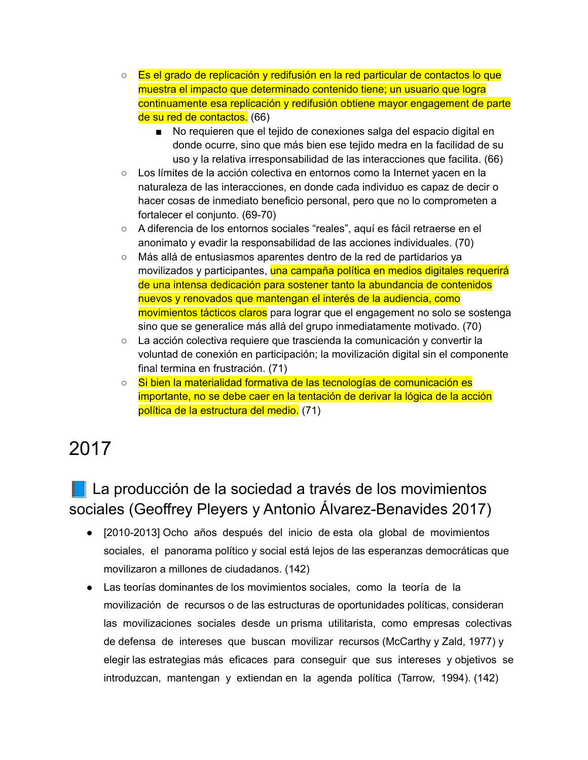- Es el grado de replicación y redifusión en la red particular de contactos lo que muestra el impacto que determinado contenido tiene; un usuario que logra continuamente esa replicación y redifusión obtiene mayor engagement de parte de su red de contactos. (66)
	- No requieren que el tejido de conexiones salga del espacio digital en donde ocurre, sino que más bien ese tejido medra en la facilidad de su uso y la relativa irresponsabilidad de las interacciones que facilita. (66)
- Los límites de la acción colectiva en entornos como la Internet yacen en la naturaleza de las interacciones, en donde cada individuo es capaz de decir o hacer cosas de inmediato beneficio personal, pero que no lo comprometen a fortalecer el conjunto. (69-70)
- A diferencia de los entornos sociales "reales", aquí es fácil retraerse en el anonimato y evadir la responsabilidad de las acciones individuales. (70)
- Más allá de entusiasmos aparentes dentro de la red de partidarios ya movilizados y participantes, una campaña política en medios digitales requerirá de una intensa dedicación para sostener tanto la abundancia de contenidos nuevos y renovados que mantengan el interés de la audiencia, como movimientos tácticos claros para lograr que el engagement no solo se sostenga sino que se generalice más allá del grupo inmediatamente motivado. (70)
- La acción colectiva requiere que trascienda la comunicación y convertir la voluntad de conexión en participación; la movilización digital sin el componente final termina en frustración. (71)
- Si bien la materialidad formativa de las tecnologías de comunicación es importante, no se debe caer en la tentación de derivar la lógica de la acción política de la estructura del medio. (71)

#### La producción de la sociedad a través de los movimientos sociales (Geoffrey Pleyers y Antonio Álvarez-Benavides 2017)

- [2010-2013] Ocho años después del inicio de esta ola global de movimientos sociales, el panorama político y social está lejos de las esperanzas democráticas que movilizaron a millones de ciudadanos. (142)
- Las teorías dominantes de los movimientos sociales, como la teoría de la movilización de recursos o de las estructuras de oportunidades políticas, consideran las movilizaciones sociales desde un prisma utilitarista, como empresas colectivas de defensa de intereses que buscan movilizar recursos (McCarthy y Zald, 1977) y elegir las estrategias más eficaces para conseguir que sus intereses y objetivos se introduzcan, mantengan y extiendan en la agenda política (Tarrow, 1994). (142)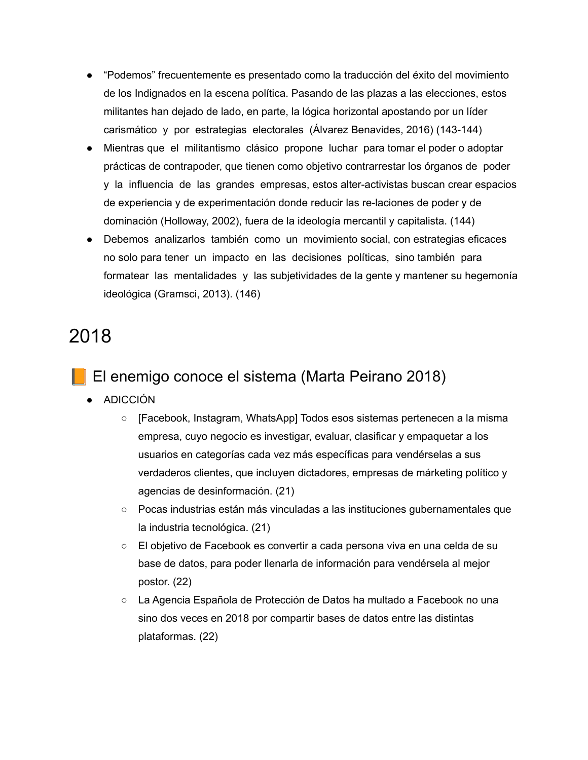- "Podemos" frecuentemente es presentado como la traducción del éxito del movimiento de los Indignados en la escena política. Pasando de las plazas a las elecciones, estos militantes han dejado de lado, en parte, la lógica horizontal apostando por un líder carismático y por estrategias electorales (Álvarez Benavides, 2016) (143-144)
- Mientras que el militantismo clásico propone luchar para tomar el poder o adoptar prácticas de contrapoder, que tienen como objetivo contrarrestar los órganos de poder y la influencia de las grandes empresas, estos alter-activistas buscan crear espacios de experiencia y de experimentación donde reducir las re-laciones de poder y de dominación (Holloway, 2002), fuera de la ideología mercantil y capitalista. (144)
- Debemos analizarlos también como un movimiento social, con estrategias eficaces no solo para tener un impacto en las decisiones políticas, sino también para formatear las mentalidades y las subjetividades de la gente y mantener su hegemonía ideológica (Gramsci, 2013). (146)

#### El enemigo conoce el sistema (Marta Peirano 2018)

- ADICCIÓN
	- [Facebook, Instagram, WhatsApp] Todos esos sistemas pertenecen a la misma empresa, cuyo negocio es investigar, evaluar, clasificar y empaquetar a los usuarios en categorías cada vez más específicas para vendérselas a sus verdaderos clientes, que incluyen dictadores, empresas de márketing político y agencias de desinformación. (21)
	- Pocas industrias están más vinculadas a las instituciones gubernamentales que la industria tecnológica. (21)
	- El objetivo de Facebook es convertir a cada persona viva en una celda de su base de datos, para poder llenarla de información para vendérsela al mejor postor. (22)
	- La Agencia Española de Protección de Datos ha multado a Facebook no una sino dos veces en 2018 por compartir bases de datos entre las distintas plataformas. (22)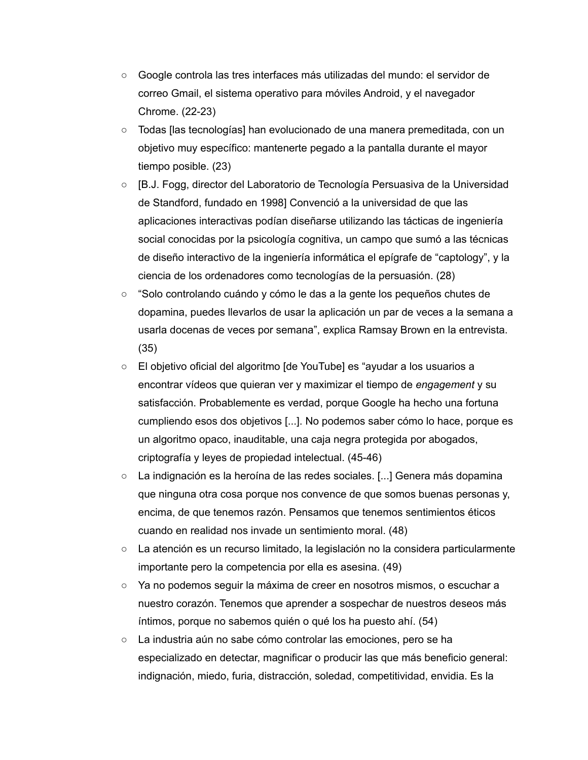- Google controla las tres interfaces más utilizadas del mundo: el servidor de correo Gmail, el sistema operativo para móviles Android, y el navegador Chrome. (22-23)
- Todas [las tecnologías] han evolucionado de una manera premeditada, con un objetivo muy específico: mantenerte pegado a la pantalla durante el mayor tiempo posible. (23)
- [B.J. Fogg, director del Laboratorio de Tecnología Persuasiva de la Universidad de Standford, fundado en 1998] Convenció a la universidad de que las aplicaciones interactivas podían diseñarse utilizando las tácticas de ingeniería social conocidas por la psicología cognitiva, un campo que sumó a las técnicas de diseño interactivo de la ingeniería informática el epígrafe de "captology", y la ciencia de los ordenadores como tecnologías de la persuasión. (28)
- "Solo controlando cuándo y cómo le das a la gente los pequeños chutes de dopamina, puedes llevarlos de usar la aplicación un par de veces a la semana a usarla docenas de veces por semana", explica Ramsay Brown en la entrevista. (35)
- El objetivo oficial del algoritmo [de YouTube] es "ayudar a los usuarios a encontrar vídeos que quieran ver y maximizar el tiempo de *engagement* y su satisfacción. Probablemente es verdad, porque Google ha hecho una fortuna cumpliendo esos dos objetivos [...]. No podemos saber cómo lo hace, porque es un algoritmo opaco, inauditable, una caja negra protegida por abogados, criptografía y leyes de propiedad intelectual. (45-46)
- La indignación es la heroína de las redes sociales. [...] Genera más dopamina que ninguna otra cosa porque nos convence de que somos buenas personas y, encima, de que tenemos razón. Pensamos que tenemos sentimientos éticos cuando en realidad nos invade un sentimiento moral. (48)
- La atención es un recurso limitado, la legislación no la considera particularmente importante pero la competencia por ella es asesina. (49)
- Ya no podemos seguir la máxima de creer en nosotros mismos, o escuchar a nuestro corazón. Tenemos que aprender a sospechar de nuestros deseos más íntimos, porque no sabemos quién o qué los ha puesto ahí. (54)
- La industria aún no sabe cómo controlar las emociones, pero se ha especializado en detectar, magnificar o producir las que más beneficio general: indignación, miedo, furia, distracción, soledad, competitividad, envidia. Es la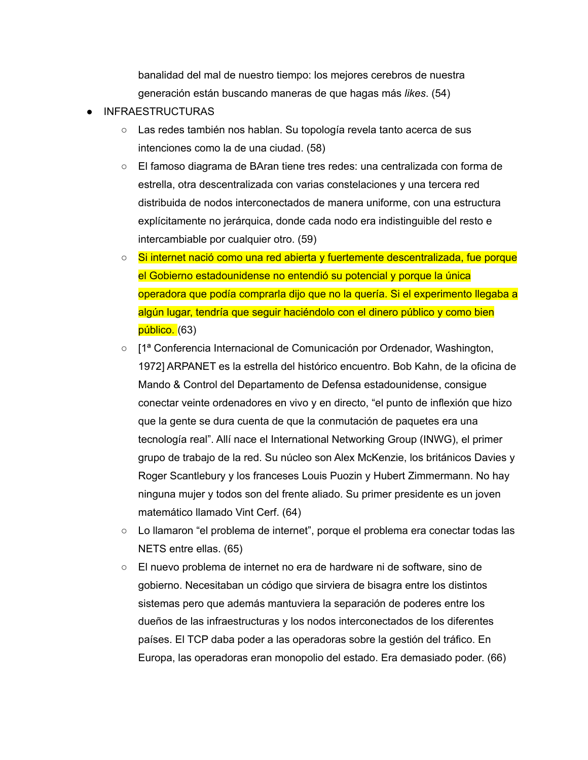banalidad del mal de nuestro tiempo: los mejores cerebros de nuestra generación están buscando maneras de que hagas más *likes*. (54)

#### ● INFRAESTRUCTURAS

- Las redes también nos hablan. Su topología revela tanto acerca de sus intenciones como la de una ciudad. (58)
- El famoso diagrama de BAran tiene tres redes: una centralizada con forma de estrella, otra descentralizada con varias constelaciones y una tercera red distribuida de nodos interconectados de manera uniforme, con una estructura explícitamente no jerárquica, donde cada nodo era indistinguible del resto e intercambiable por cualquier otro. (59)
- Si internet nació como una red abierta y fuertemente descentralizada, fue porque el Gobierno estadounidense no entendió su potencial y porque la única operadora que podía comprarla dijo que no la quería. Si el experimento llegaba a algún lugar, tendría que seguir haciéndolo con el dinero público y como bien público. (63)
- [1ª Conferencia Internacional de Comunicación por Ordenador, Washington, 1972] ARPANET es la estrella del histórico encuentro. Bob Kahn, de la oficina de Mando & Control del Departamento de Defensa estadounidense, consigue conectar veinte ordenadores en vivo y en directo, "el punto de inflexión que hizo que la gente se dura cuenta de que la conmutación de paquetes era una tecnología real". Allí nace el International Networking Group (INWG), el primer grupo de trabajo de la red. Su núcleo son Alex McKenzie, los británicos Davies y Roger Scantlebury y los franceses Louis Puozin y Hubert Zimmermann. No hay ninguna mujer y todos son del frente aliado. Su primer presidente es un joven matemático llamado Vint Cerf. (64)
- Lo llamaron "el problema de internet", porque el problema era conectar todas las NETS entre ellas. (65)
- El nuevo problema de internet no era de hardware ni de software, sino de gobierno. Necesitaban un código que sirviera de bisagra entre los distintos sistemas pero que además mantuviera la separación de poderes entre los dueños de las infraestructuras y los nodos interconectados de los diferentes países. El TCP daba poder a las operadoras sobre la gestión del tráfico. En Europa, las operadoras eran monopolio del estado. Era demasiado poder. (66)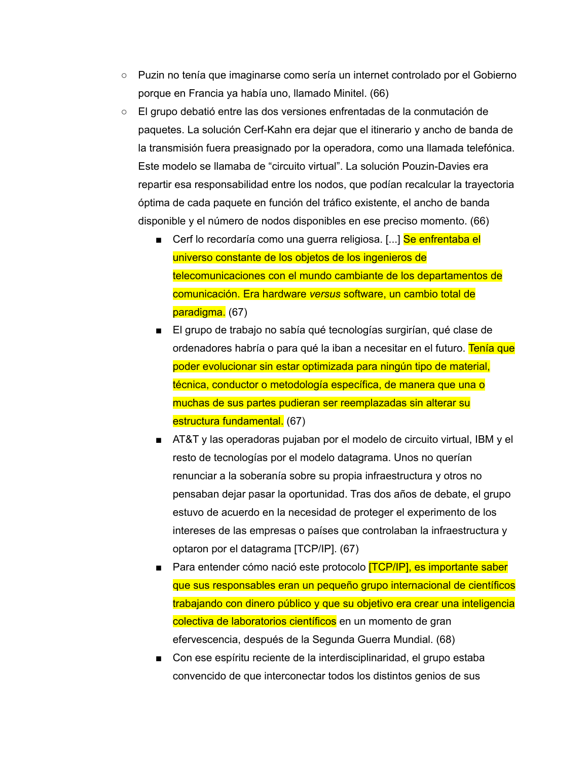- Puzin no tenía que imaginarse como sería un internet controlado por el Gobierno porque en Francia ya había uno, llamado Minitel. (66)
- El grupo debatió entre las dos versiones enfrentadas de la conmutación de paquetes. La solución Cerf-Kahn era dejar que el itinerario y ancho de banda de la transmisión fuera preasignado por la operadora, como una llamada telefónica. Este modelo se llamaba de "circuito virtual". La solución Pouzin-Davies era repartir esa responsabilidad entre los nodos, que podían recalcular la trayectoria óptima de cada paquete en función del tráfico existente, el ancho de banda disponible y el número de nodos disponibles en ese preciso momento. (66)
	- Cerf lo recordaría como una guerra religiosa. [...] Se enfrentaba el universo constante de los objetos de los ingenieros de telecomunicaciones con el mundo cambiante de los departamentos de comunicación. Era hardware *versus* software, un cambio total de paradigma. (67)
	- El grupo de trabajo no sabía qué tecnologías surgirían, qué clase de ordenadores habría o para qué la iban a necesitar en el futuro. Tenía que poder evolucionar sin estar optimizada para ningún tipo de material, técnica, conductor o metodología específica, de manera que una o muchas de sus partes pudieran ser reemplazadas sin alterar su estructura fundamental. (67)
	- AT&T y las operadoras pujaban por el modelo de circuito virtual, IBM y el resto de tecnologías por el modelo datagrama. Unos no querían renunciar a la soberanía sobre su propia infraestructura y otros no pensaban dejar pasar la oportunidad. Tras dos años de debate, el grupo estuvo de acuerdo en la necesidad de proteger el experimento de los intereses de las empresas o países que controlaban la infraestructura y optaron por el datagrama [TCP/IP]. (67)
	- Para entender cómo nació este protocolo **[TCP/IP]**, es importante saber que sus responsables eran un pequeño grupo internacional de científicos trabajando con dinero público y que su objetivo era crear una inteligencia colectiva de laboratorios científicos en un momento de gran efervescencia, después de la Segunda Guerra Mundial. (68)
	- Con ese espíritu reciente de la interdisciplinaridad, el grupo estaba convencido de que interconectar todos los distintos genios de sus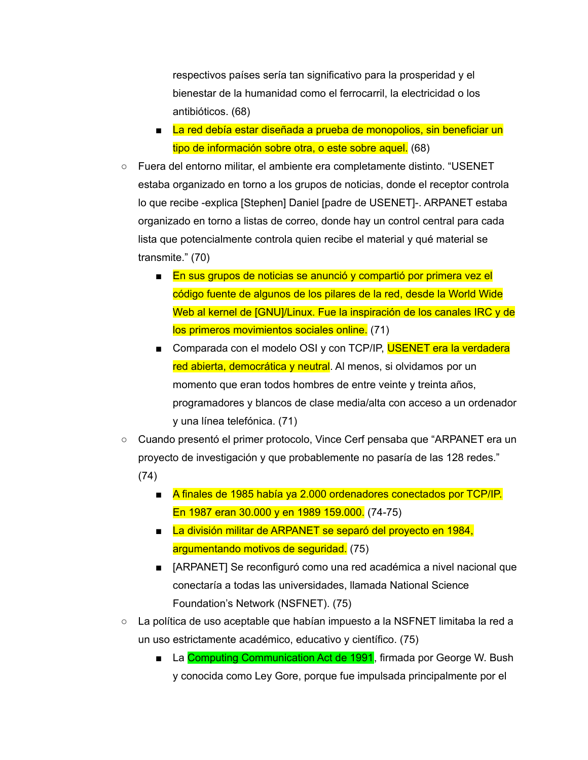respectivos países sería tan significativo para la prosperidad y el bienestar de la humanidad como el ferrocarril, la electricidad o los antibióticos. (68)

- La red debía estar diseñada a prueba de monopolios, sin beneficiar un tipo de información sobre otra, o este sobre aquel. (68)
- Fuera del entorno militar, el ambiente era completamente distinto. "USENET estaba organizado en torno a los grupos de noticias, donde el receptor controla lo que recibe -explica [Stephen] Daniel [padre de USENET]-. ARPANET estaba organizado en torno a listas de correo, donde hay un control central para cada lista que potencialmente controla quien recibe el material y qué material se transmite." (70)
	- En sus grupos de noticias se anunció y compartió por primera vez el código fuente de algunos de los pilares de la red, desde la World Wide Web al kernel de [GNU]/Linux. Fue la inspiración de los canales IRC y de los primeros movimientos sociales online. (71)
	- Comparada con el modelo OSI y con TCP/IP, USENET era la verdadera red abierta, democrática y neutral. Al menos, si olvidamos por un momento que eran todos hombres de entre veinte y treinta años, programadores y blancos de clase media/alta con acceso a un ordenador y una línea telefónica. (71)
- Cuando presentó el primer protocolo, Vince Cerf pensaba que "ARPANET era un proyecto de investigación y que probablemente no pasaría de las 128 redes." (74)
	- A finales de 1985 había ya 2.000 ordenadores conectados por TCP/IP. En 1987 eran 30.000 y en 1989 159.000. (74-75)
	- La división militar de ARPANET se separó del proyecto en 1984, argumentando motivos de seguridad. (75)
	- [ARPANET] Se reconfiguró como una red académica a nivel nacional que conectaría a todas las universidades, llamada National Science Foundation's Network (NSFNET). (75)
- La política de uso aceptable que habían impuesto a la NSFNET limitaba la red a un uso estrictamente académico, educativo y científico. (75)
	- La Computing Communication Act de 1991, firmada por George W. Bush y conocida como Ley Gore, porque fue impulsada principalmente por el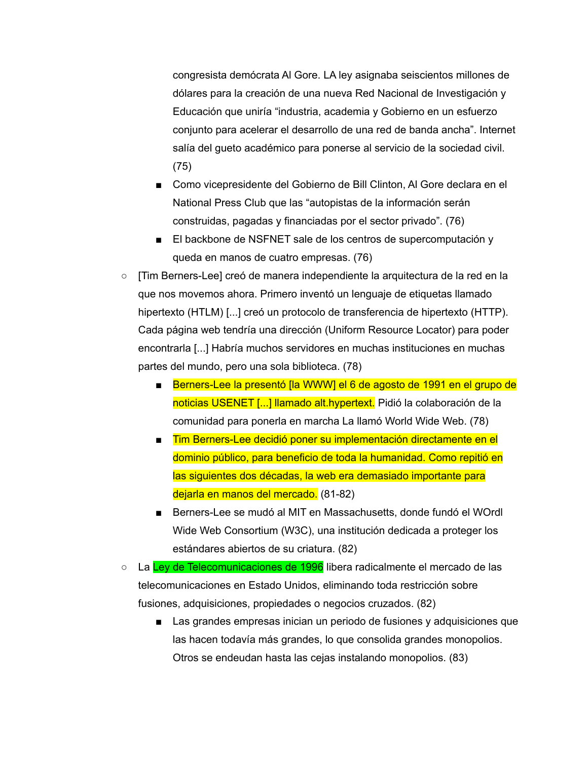congresista demócrata Al Gore. LA ley asignaba seiscientos millones de dólares para la creación de una nueva Red Nacional de Investigación y Educación que uniría "industria, academia y Gobierno en un esfuerzo conjunto para acelerar el desarrollo de una red de banda ancha". Internet salía del gueto académico para ponerse al servicio de la sociedad civil. (75)

- Como vicepresidente del Gobierno de Bill Clinton, Al Gore declara en el National Press Club que las "autopistas de la información serán construidas, pagadas y financiadas por el sector privado". (76)
- El backbone de NSFNET sale de los centros de supercomputación y queda en manos de cuatro empresas. (76)
- [Tim Berners-Lee] creó de manera independiente la arquitectura de la red en la que nos movemos ahora. Primero inventó un lenguaje de etiquetas llamado hipertexto (HTLM) [...] creó un protocolo de transferencia de hipertexto (HTTP). Cada página web tendría una dirección (Uniform Resource Locator) para poder encontrarla [...] Habría muchos servidores en muchas instituciones en muchas partes del mundo, pero una sola biblioteca. (78)
	- Berners-Lee la presentó [la WWW] el 6 de agosto de 1991 en el grupo de noticias USENET [...] llamado alt.hypertext. Pidió la colaboración de la comunidad para ponerla en marcha La llamó World Wide Web. (78)
	- Tim Berners-Lee decidió poner su implementación directamente en el dominio público, para beneficio de toda la humanidad. Como repitió en las siguientes dos décadas, la web era demasiado importante para dejarla en manos del mercado. (81-82)
	- Berners-Lee se mudó al MIT en Massachusetts, donde fundó el WOrdl Wide Web Consortium (W3C), una institución dedicada a proteger los estándares abiertos de su criatura. (82)
- La Ley de Telecomunicaciones de 1996 libera radicalmente el mercado de las telecomunicaciones en Estado Unidos, eliminando toda restricción sobre fusiones, adquisiciones, propiedades o negocios cruzados. (82)
	- Las grandes empresas inician un periodo de fusiones y adquisiciones que las hacen todavía más grandes, lo que consolida grandes monopolios. Otros se endeudan hasta las cejas instalando monopolios. (83)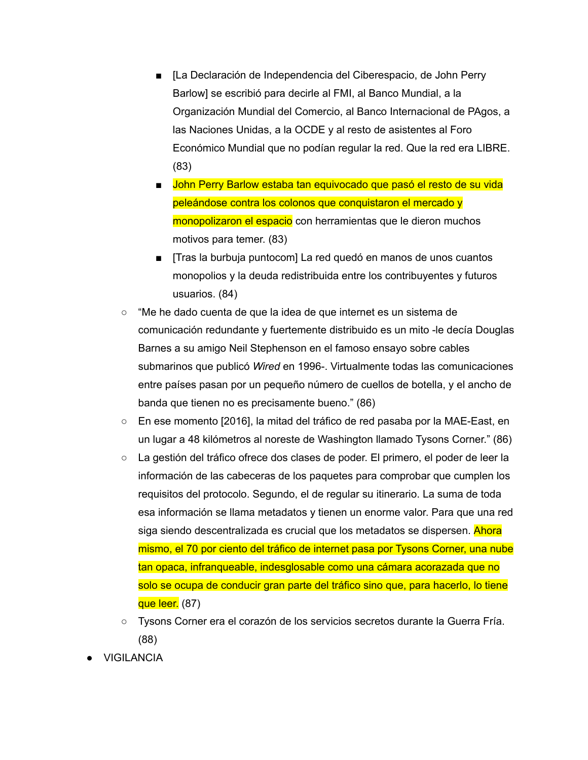- [La Declaración de Independencia del Ciberespacio, de John Perry Barlow] se escribió para decirle al FMI, al Banco Mundial, a la Organización Mundial del Comercio, al Banco Internacional de PAgos, a las Naciones Unidas, a la OCDE y al resto de asistentes al Foro Económico Mundial que no podían regular la red. Que la red era LIBRE. (83)
- John Perry Barlow estaba tan equivocado que pasó el resto de su vida peleándose contra los colonos que conquistaron el mercado y monopolizaron el espacio con herramientas que le dieron muchos motivos para temer. (83)
- [Tras la burbuja puntocom] La red quedó en manos de unos cuantos monopolios y la deuda redistribuida entre los contribuyentes y futuros usuarios. (84)
- "Me he dado cuenta de que la idea de que internet es un sistema de comunicación redundante y fuertemente distribuido es un mito -le decía Douglas Barnes a su amigo Neil Stephenson en el famoso ensayo sobre cables submarinos que publicó *Wired* en 1996-. Virtualmente todas las comunicaciones entre países pasan por un pequeño número de cuellos de botella, y el ancho de banda que tienen no es precisamente bueno." (86)
- En ese momento [2016], la mitad del tráfico de red pasaba por la MAE-East, en un lugar a 48 kilómetros al noreste de Washington llamado Tysons Corner." (86)
- La gestión del tráfico ofrece dos clases de poder. El primero, el poder de leer la información de las cabeceras de los paquetes para comprobar que cumplen los requisitos del protocolo. Segundo, el de regular su itinerario. La suma de toda esa información se llama metadatos y tienen un enorme valor. Para que una red siga siendo descentralizada es crucial que los metadatos se dispersen. Ahora mismo, el 70 por ciento del tráfico de internet pasa por Tysons Corner, una nube tan opaca, infranqueable, indesglosable como una cámara acorazada que no solo se ocupa de conducir gran parte del tráfico sino que, para hacerlo, lo tiene que leer. (87)
- Tysons Corner era el corazón de los servicios secretos durante la Guerra Fría. (88)
- **VIGILANCIA**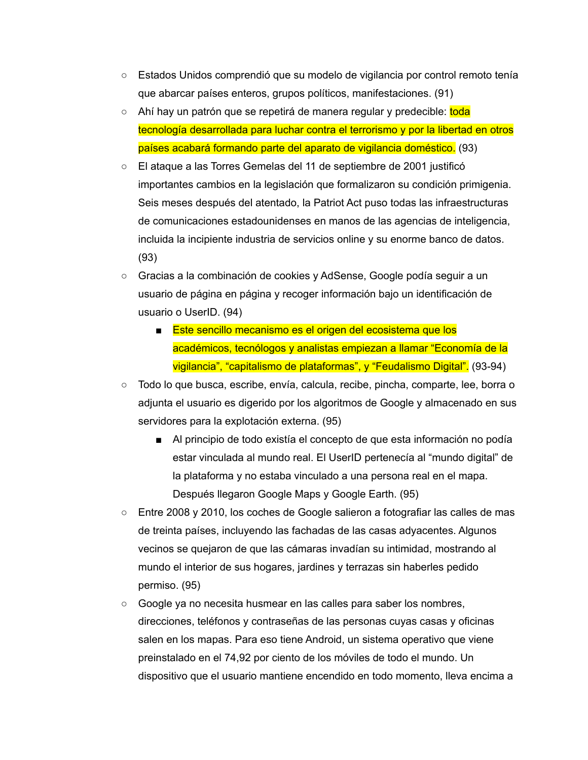- Estados Unidos comprendió que su modelo de vigilancia por control remoto tenía que abarcar países enteros, grupos políticos, manifestaciones. (91)
- Ahí hay un patrón que se repetirá de manera regular y predecible: toda tecnología desarrollada para luchar contra el terrorismo y por la libertad en otros países acabará formando parte del aparato de vigilancia doméstico. (93)
- El ataque a las Torres Gemelas del 11 de septiembre de 2001 justificó importantes cambios en la legislación que formalizaron su condición primigenia. Seis meses después del atentado, la Patriot Act puso todas las infraestructuras de comunicaciones estadounidenses en manos de las agencias de inteligencia, incluida la incipiente industria de servicios online y su enorme banco de datos. (93)
- Gracias a la combinación de cookies y AdSense, Google podía seguir a un usuario de página en página y recoger información bajo un identificación de usuario o UserID. (94)
	- Este sencillo mecanismo es el origen del ecosistema que los académicos, tecnólogos y analistas empiezan a llamar "Economía de la vigilancia", "capitalismo de plataformas", y "Feudalismo Digital". (93-94)
- Todo lo que busca, escribe, envía, calcula, recibe, pincha, comparte, lee, borra o adjunta el usuario es digerido por los algoritmos de Google y almacenado en sus servidores para la explotación externa. (95)
	- Al principio de todo existía el concepto de que esta información no podía estar vinculada al mundo real. El UserID pertenecía al "mundo digital" de la plataforma y no estaba vinculado a una persona real en el mapa. Después llegaron Google Maps y Google Earth. (95)
- Entre 2008 y 2010, los coches de Google salieron a fotografiar las calles de mas de treinta países, incluyendo las fachadas de las casas adyacentes. Algunos vecinos se quejaron de que las cámaras invadían su intimidad, mostrando al mundo el interior de sus hogares, jardines y terrazas sin haberles pedido permiso. (95)
- Google ya no necesita husmear en las calles para saber los nombres, direcciones, teléfonos y contraseñas de las personas cuyas casas y oficinas salen en los mapas. Para eso tiene Android, un sistema operativo que viene preinstalado en el 74,92 por ciento de los móviles de todo el mundo. Un dispositivo que el usuario mantiene encendido en todo momento, lleva encima a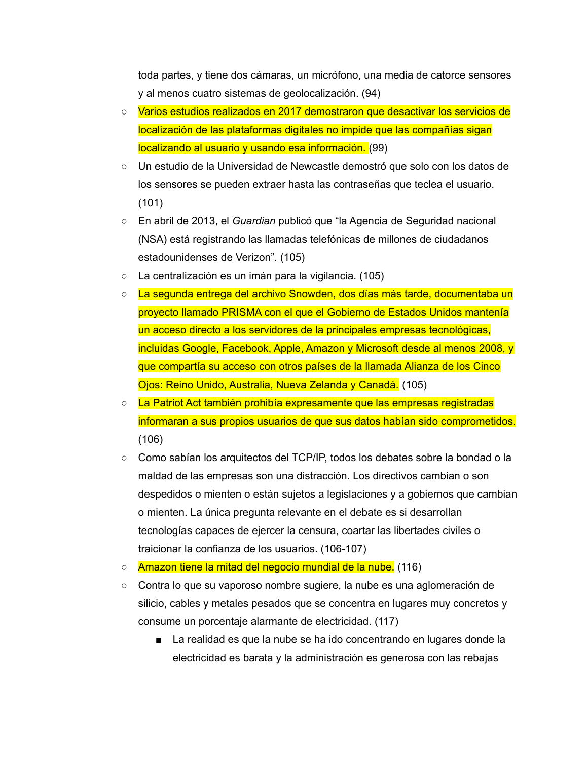toda partes, y tiene dos cámaras, un micrófono, una media de catorce sensores y al menos cuatro sistemas de geolocalización. (94)

- Varios estudios realizados en 2017 demostraron que desactivar los servicios de localización de las plataformas digitales no impide que las compañías sigan localizando al usuario y usando esa información. (99)
- Un estudio de la Universidad de Newcastle demostró que solo con los datos de los sensores se pueden extraer hasta las contraseñas que teclea el usuario. (101)
- En abril de 2013, el *Guardian* publicó que "la Agencia de Seguridad nacional (NSA) está registrando las llamadas telefónicas de millones de ciudadanos estadounidenses de Verizon". (105)
- La centralización es un imán para la vigilancia. (105)
- La segunda entrega del archivo Snowden, dos días más tarde, documentaba un proyecto llamado PRISMA con el que el Gobierno de Estados Unidos mantenía un acceso directo a los servidores de la principales empresas tecnológicas, incluidas Google, Facebook, Apple, Amazon y Microsoft desde al menos 2008, y que compartía su acceso con otros países de la llamada Alianza de los Cinco Ojos: Reino Unido, Australia, Nueva Zelanda y Canadá. (105)
- La Patriot Act también prohibía expresamente que las empresas registradas informaran a sus propios usuarios de que sus datos habían sido comprometidos. (106)
- Como sabían los arquitectos del TCP/IP, todos los debates sobre la bondad o la maldad de las empresas son una distracción. Los directivos cambian o son despedidos o mienten o están sujetos a legislaciones y a gobiernos que cambian o mienten. La única pregunta relevante en el debate es si desarrollan tecnologías capaces de ejercer la censura, coartar las libertades civiles o traicionar la confianza de los usuarios. (106-107)
- Amazon tiene la mitad del negocio mundial de la nube. (116)
- Contra lo que su vaporoso nombre sugiere, la nube es una aglomeración de silicio, cables y metales pesados que se concentra en lugares muy concretos y consume un porcentaje alarmante de electricidad. (117)
	- La realidad es que la nube se ha ido concentrando en lugares donde la electricidad es barata y la administración es generosa con las rebajas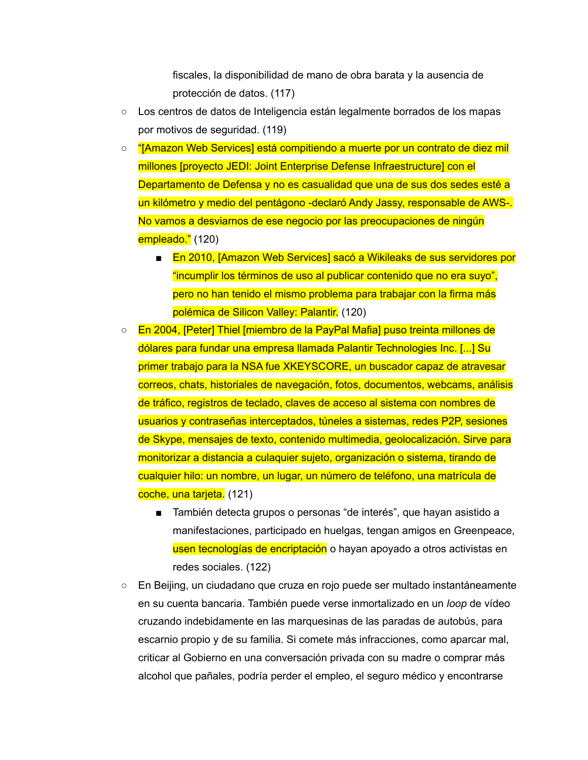fiscales, la disponibilidad de mano de obra barata y la ausencia de protección de datos. (117)

- Los centros de datos de Inteligencia están legalmente borrados de los mapas por motivos de seguridad. (119)
- "[Amazon Web Services] está compitiendo a muerte por un contrato de diez mil millones [proyecto JEDI: Joint Enterprise Defense Infraestructure] con el Departamento de Defensa y no es casualidad que una de sus dos sedes esté a un kilómetro y medio del pentágono -declaró Andy Jassy, responsable de AWS-. No vamos a desviarnos de ese negocio por las preocupaciones de ningún empleado." (120)
	- En 2010, [Amazon Web Services] sacó a Wikileaks de sus servidores por "incumplir los términos de uso al publicar contenido que no era suyo", pero no han tenido el mismo problema para trabajar con la firma más polémica de Silicon Valley: Palantir. (120)
- En 2004, [Peter] Thiel [miembro de la PayPal Mafia] puso treinta millones de dólares para fundar una empresa llamada Palantir Technologies Inc. [...] Su primer trabajo para la NSA fue XKEYSCORE, un buscador capaz de atravesar correos, chats, historiales de navegación, fotos, documentos, webcams, análisis de tráfico, registros de teclado, claves de acceso al sistema con nombres de usuarios y contraseñas interceptados, túneles a sistemas, redes P2P, sesiones de Skype, mensajes de texto, contenido multimedia, geolocalización. Sirve para monitorizar a distancia a culaquier sujeto, organización o sistema, tirando de cualquier hilo: un nombre, un lugar, un número de teléfono, una matrícula de coche, una tarjeta. (121)
	- También detecta grupos o personas "de interés", que hayan asistido a manifestaciones, participado en huelgas, tengan amigos en Greenpeace, usen tecnologías de encriptación o hayan apoyado a otros activistas en redes sociales. (122)
- En Beijing, un ciudadano que cruza en rojo puede ser multado instantáneamente en su cuenta bancaria. También puede verse inmortalizado en un *loop* de vídeo cruzando indebidamente en las marquesinas de las paradas de autobús, para escarnio propio y de su familia. Si comete más infracciones, como aparcar mal, criticar al Gobierno en una conversación privada con su madre o comprar más alcohol que pañales, podría perder el empleo, el seguro médico y encontrarse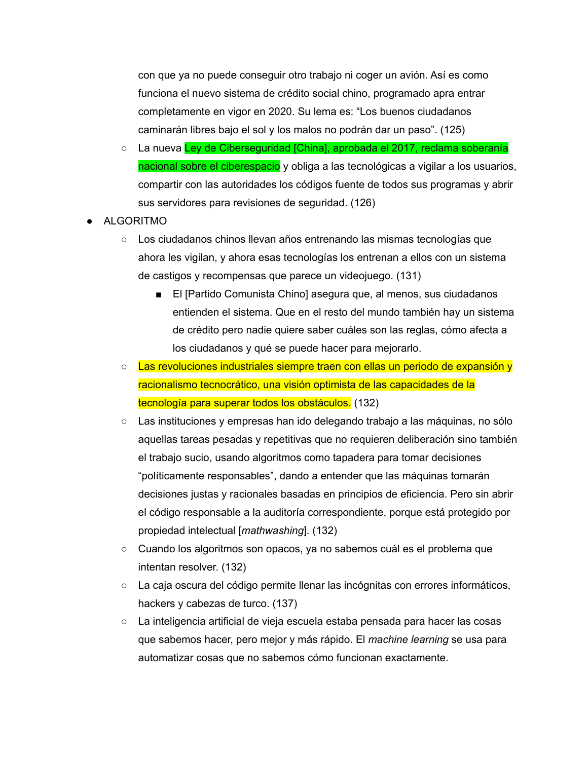con que ya no puede conseguir otro trabajo ni coger un avión. Así es como funciona el nuevo sistema de crédito social chino, programado apra entrar completamente en vigor en 2020. Su lema es: "Los buenos ciudadanos caminarán libres bajo el sol y los malos no podrán dar un paso". (125)

- La nueva Ley de Ciberseguridad [China], aprobada el 2017, reclama soberanía nacional sobre el ciberespacio y obliga a las tecnológicas a vigilar a los usuarios, compartir con las autoridades los códigos fuente de todos sus programas y abrir sus servidores para revisiones de seguridad. (126)
- ALGORITMO
	- Los ciudadanos chinos llevan años entrenando las mismas tecnologías que ahora les vigilan, y ahora esas tecnologías los entrenan a ellos con un sistema de castigos y recompensas que parece un videojuego. (131)
		- El [Partido Comunista Chino] asegura que, al menos, sus ciudadanos entienden el sistema. Que en el resto del mundo también hay un sistema de crédito pero nadie quiere saber cuáles son las reglas, cómo afecta a los ciudadanos y qué se puede hacer para mejorarlo.
	- Las revoluciones industriales siempre traen con ellas un periodo de expansión y racionalismo tecnocrático, una visión optimista de las capacidades de la tecnología para superar todos los obstáculos. (132)
	- Las instituciones y empresas han ido delegando trabajo a las máquinas, no sólo aquellas tareas pesadas y repetitivas que no requieren deliberación sino también el trabajo sucio, usando algoritmos como tapadera para tomar decisiones "políticamente responsables", dando a entender que las máquinas tomarán decisiones justas y racionales basadas en principios de eficiencia. Pero sin abrir el código responsable a la auditoría correspondiente, porque está protegido por propiedad intelectual [*mathwashing*]. (132)
	- Cuando los algoritmos son opacos, ya no sabemos cuál es el problema que intentan resolver. (132)
	- La caja oscura del código permite llenar las incógnitas con errores informáticos, hackers y cabezas de turco. (137)
	- La inteligencia artificial de vieja escuela estaba pensada para hacer las cosas que sabemos hacer, pero mejor y más rápido. El *machine learning* se usa para automatizar cosas que no sabemos cómo funcionan exactamente.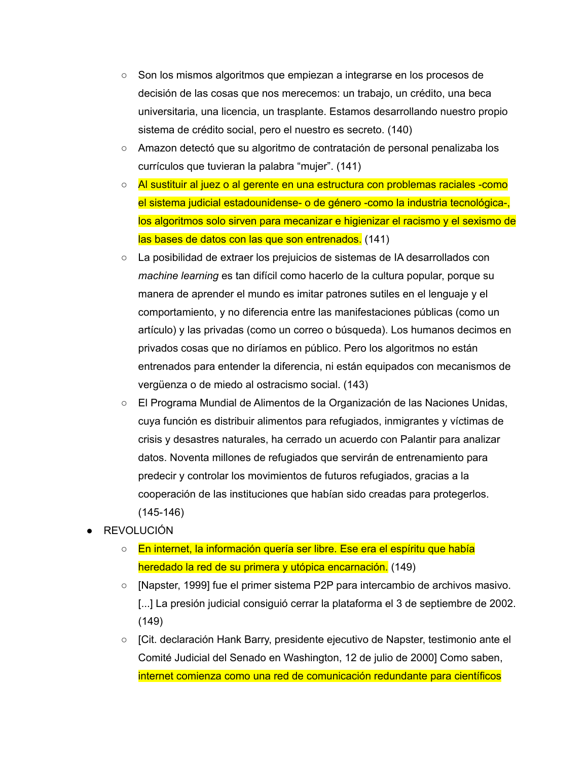- Son los mismos algoritmos que empiezan a integrarse en los procesos de decisión de las cosas que nos merecemos: un trabajo, un crédito, una beca universitaria, una licencia, un trasplante. Estamos desarrollando nuestro propio sistema de crédito social, pero el nuestro es secreto. (140)
- Amazon detectó que su algoritmo de contratación de personal penalizaba los currículos que tuvieran la palabra "mujer". (141)
- Al sustituir al juez o al gerente en una estructura con problemas raciales -como el sistema judicial estadounidense- o de género -como la industria tecnológica-, los algoritmos solo sirven para mecanizar e higienizar el racismo y el sexismo de las bases de datos con las que son entrenados. (141)
- La posibilidad de extraer los prejuicios de sistemas de IA desarrollados con *machine learning* es tan difícil como hacerlo de la cultura popular, porque su manera de aprender el mundo es imitar patrones sutiles en el lenguaje y el comportamiento, y no diferencia entre las manifestaciones públicas (como un artículo) y las privadas (como un correo o búsqueda). Los humanos decimos en privados cosas que no diríamos en público. Pero los algoritmos no están entrenados para entender la diferencia, ni están equipados con mecanismos de vergüenza o de miedo al ostracismo social. (143)
- El Programa Mundial de Alimentos de la Organización de las Naciones Unidas, cuya función es distribuir alimentos para refugiados, inmigrantes y víctimas de crisis y desastres naturales, ha cerrado un acuerdo con Palantir para analizar datos. Noventa millones de refugiados que servirán de entrenamiento para predecir y controlar los movimientos de futuros refugiados, gracias a la cooperación de las instituciones que habían sido creadas para protegerlos. (145-146)
- **REVOLUCIÓN** 
	- En internet, la información quería ser libre. Ese era el espíritu que había heredado la red de su primera y utópica encarnación. (149)
	- [Napster, 1999] fue el primer sistema P2P para intercambio de archivos masivo. [...] La presión judicial consiguió cerrar la plataforma el 3 de septiembre de 2002. (149)
	- [Cit. declaración Hank Barry, presidente ejecutivo de Napster, testimonio ante el Comité Judicial del Senado en Washington, 12 de julio de 2000] Como saben, internet comienza como una red de comunicación redundante para científicos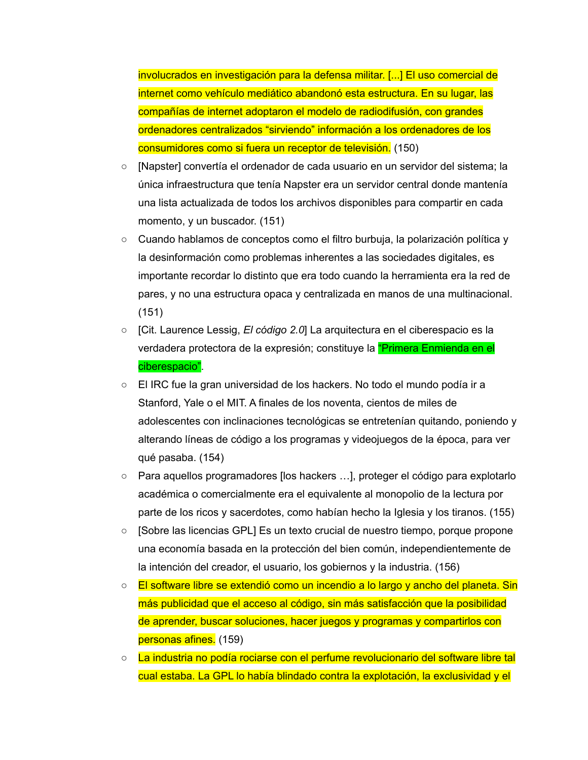involucrados en investigación para la defensa militar. [...] El uso comercial de internet como vehículo mediático abandonó esta estructura. En su lugar, las compañías de internet adoptaron el modelo de radiodifusión, con grandes ordenadores centralizados "sirviendo" información a los ordenadores de los consumidores como si fuera un receptor de televisión. (150)

- [Napster] convertía el ordenador de cada usuario en un servidor del sistema; la única infraestructura que tenía Napster era un servidor central donde mantenía una lista actualizada de todos los archivos disponibles para compartir en cada momento, y un buscador. (151)
- Cuando hablamos de conceptos como el filtro burbuja, la polarización política y la desinformación como problemas inherentes a las sociedades digitales, es importante recordar lo distinto que era todo cuando la herramienta era la red de pares, y no una estructura opaca y centralizada en manos de una multinacional. (151)
- [Cit. Laurence Lessig, *El código 2.0*] La arquitectura en el ciberespacio es la verdadera protectora de la expresión; constituye la "Primera Enmienda en el ciberespacio".
- El IRC fue la gran universidad de los hackers. No todo el mundo podía ir a Stanford, Yale o el MIT. A finales de los noventa, cientos de miles de adolescentes con inclinaciones tecnológicas se entretenían quitando, poniendo y alterando líneas de código a los programas y videojuegos de la época, para ver qué pasaba. (154)
- Para aquellos programadores [los hackers …], proteger el código para explotarlo académica o comercialmente era el equivalente al monopolio de la lectura por parte de los ricos y sacerdotes, como habían hecho la Iglesia y los tiranos. (155)
- [Sobre las licencias GPL] Es un texto crucial de nuestro tiempo, porque propone una economía basada en la protección del bien común, independientemente de la intención del creador, el usuario, los gobiernos y la industria. (156)
- El software libre se extendió como un incendio a lo largo y ancho del planeta. Sin más publicidad que el acceso al código, sin más satisfacción que la posibilidad de aprender, buscar soluciones, hacer juegos y programas y compartirlos con personas afines. (159)
- La industria no podía rociarse con el perfume revolucionario del software libre tal cual estaba. La GPL lo había blindado contra la explotación, la exclusividad y el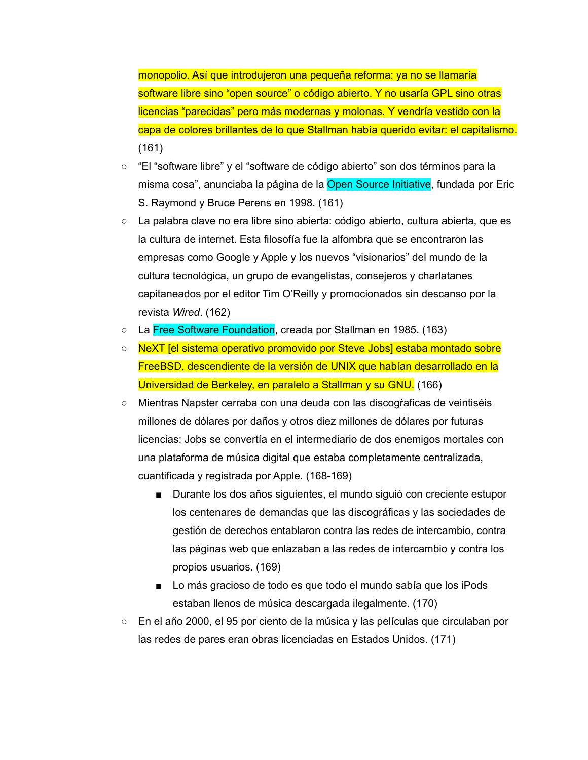monopolio. Así que introdujeron una pequeña reforma: ya no se llamaría software libre sino "open source" o código abierto. Y no usaría GPL sino otras licencias "parecidas" pero más modernas y molonas. Y vendría vestido con la capa de colores brillantes de lo que Stallman había querido evitar: el capitalismo. (161)

- "El "software libre" y el "software de código abierto" son dos términos para la misma cosa", anunciaba la página de la Open Source Initiative, fundada por Eric S. Raymond y Bruce Perens en 1998. (161)
- La palabra clave no era libre sino abierta: código abierto, cultura abierta, que es la cultura de internet. Esta filosofía fue la alfombra que se encontraron las empresas como Google y Apple y los nuevos "visionarios" del mundo de la cultura tecnológica, un grupo de evangelistas, consejeros y charlatanes capitaneados por el editor Tim O'Reilly y promocionados sin descanso por la revista *Wired*. (162)
- La Free Software Foundation, creada por Stallman en 1985. (163)
- NeXT [el sistema operativo promovido por Steve Jobs] estaba montado sobre FreeBSD, descendiente de la versión de UNIX que habían desarrollado en la Universidad de Berkeley, en paralelo a Stallman y su GNU. (166)
- Mientras Napster cerraba con una deuda con las discogŕaficas de veintiséis millones de dólares por daños y otros diez millones de dólares por futuras licencias; Jobs se convertía en el intermediario de dos enemigos mortales con una plataforma de música digital que estaba completamente centralizada, cuantificada y registrada por Apple. (168-169)
	- Durante los dos años siguientes, el mundo siguió con creciente estupor los centenares de demandas que las discográficas y las sociedades de gestión de derechos entablaron contra las redes de intercambio, contra las páginas web que enlazaban a las redes de intercambio y contra los propios usuarios. (169)
	- Lo más gracioso de todo es que todo el mundo sabía que los iPods estaban llenos de música descargada ilegalmente. (170)
- En el año 2000, el 95 por ciento de la música y las películas que circulaban por las redes de pares eran obras licenciadas en Estados Unidos. (171)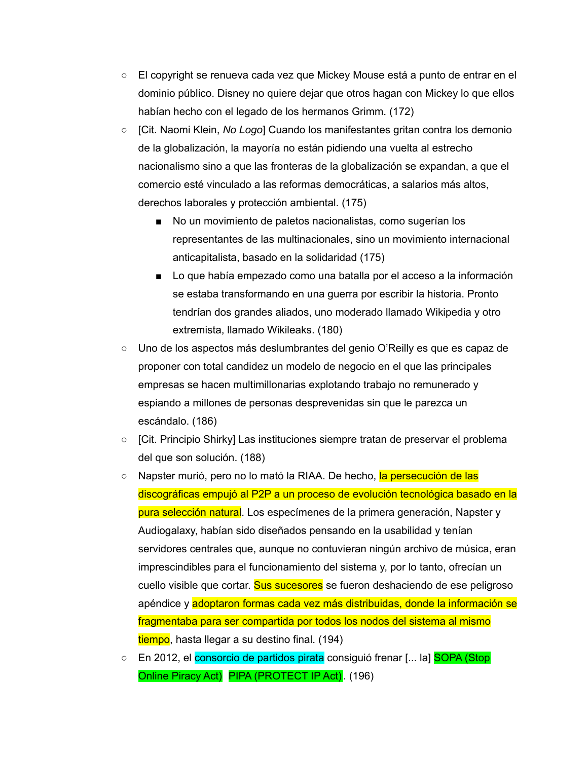- El copyright se renueva cada vez que Mickey Mouse está a punto de entrar en el dominio público. Disney no quiere dejar que otros hagan con Mickey lo que ellos habían hecho con el legado de los hermanos Grimm. (172)
- [Cit. Naomi Klein, *No Logo*] Cuando los manifestantes gritan contra los demonio de la globalización, la mayoría no están pidiendo una vuelta al estrecho nacionalismo sino a que las fronteras de la globalización se expandan, a que el comercio esté vinculado a las reformas democráticas, a salarios más altos, derechos laborales y protección ambiental. (175)
	- No un movimiento de paletos nacionalistas, como sugerían los representantes de las multinacionales, sino un movimiento internacional anticapitalista, basado en la solidaridad (175)
	- Lo que había empezado como una batalla por el acceso a la información se estaba transformando en una guerra por escribir la historia. Pronto tendrían dos grandes aliados, uno moderado llamado Wikipedia y otro extremista, llamado Wikileaks. (180)
- Uno de los aspectos más deslumbrantes del genio O'Reilly es que es capaz de proponer con total candidez un modelo de negocio en el que las principales empresas se hacen multimillonarias explotando trabajo no remunerado y espiando a millones de personas desprevenidas sin que le parezca un escándalo. (186)
- [Cit. Principio Shirky] Las instituciones siempre tratan de preservar el problema del que son solución. (188)
- Napster murió, pero no lo mató la RIAA. De hecho, la persecución de las discográficas empujó al P2P a un proceso de evolución tecnológica basado en la pura selección natural. Los especímenes de la primera generación, Napster y Audiogalaxy, habían sido diseñados pensando en la usabilidad y tenían servidores centrales que, aunque no contuvieran ningún archivo de música, eran imprescindibles para el funcionamiento del sistema y, por lo tanto, ofrecían un cuello visible que cortar. Sus sucesores se fueron deshaciendo de ese peligroso apéndice y adoptaron formas cada vez más distribuidas, donde la información se fragmentaba para ser compartida por todos los nodos del sistema al mismo tiempo, hasta llegar a su destino final. (194)
- En 2012, el consorcio de partidos pirata consiguió frenar [... la] SOPA (Stop Online Piracy Act) PIPA (PROTECT IP Act). (196)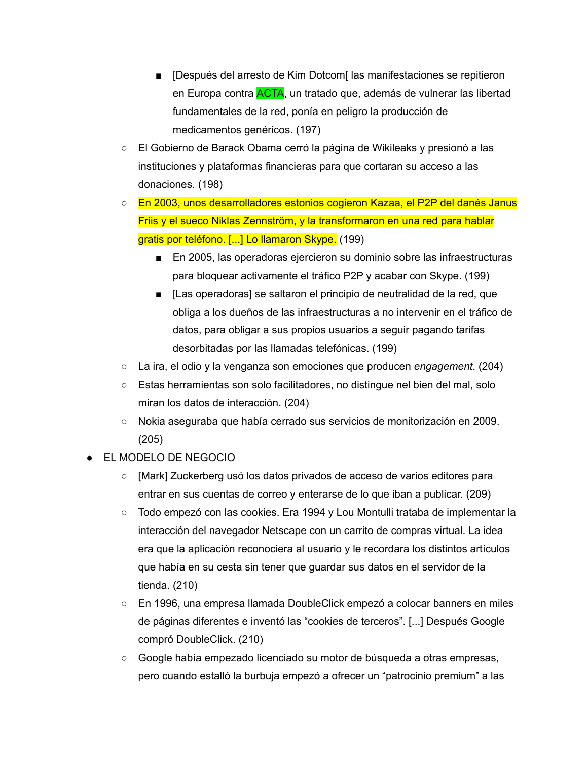- [Después del arresto de Kim Dotcom[ las manifestaciones se repitieron en Europa contra ACTA, un tratado que, además de vulnerar las libertad fundamentales de la red, ponía en peligro la producción de medicamentos genéricos. (197)
- El Gobierno de Barack Obama cerró la página de Wikileaks y presionó a las instituciones y plataformas financieras para que cortaran su acceso a las donaciones. (198)
- En 2003, unos desarrolladores estonios cogieron Kazaa, el P2P del danés Janus Friis y el sueco Niklas Zennström, y la transformaron en una red para hablar gratis por teléfono. [...] Lo llamaron Skype. (199)
	- En 2005, las operadoras ejercieron su dominio sobre las infraestructuras para bloquear activamente el tráfico P2P y acabar con Skype. (199)
	- [Las operadoras] se saltaron el principio de neutralidad de la red, que obliga a los dueños de las infraestructuras a no intervenir en el tráfico de datos, para obligar a sus propios usuarios a seguir pagando tarifas desorbitadas por las llamadas telefónicas. (199)
- La ira, el odio y la venganza son emociones que producen *engagement*. (204)
- Estas herramientas son solo facilitadores, no distingue nel bien del mal, solo miran los datos de interacción. (204)
- Nokia aseguraba que había cerrado sus servicios de monitorización en 2009. (205)
- **EL MODELO DE NEGOCIO** 
	- [Mark] Zuckerberg usó los datos privados de acceso de varios editores para entrar en sus cuentas de correo y enterarse de lo que iban a publicar. (209)
	- Todo empezó con las cookies. Era 1994 y Lou Montulli trataba de implementar la interacción del navegador Netscape con un carrito de compras virtual. La idea era que la aplicación reconociera al usuario y le recordara los distintos artículos que había en su cesta sin tener que guardar sus datos en el servidor de la tienda. (210)
	- En 1996, una empresa llamada DoubleClick empezó a colocar banners en miles de páginas diferentes e inventó las "cookies de terceros". [...] Después Google compró DoubleClick. (210)
	- Google había empezado licenciado su motor de búsqueda a otras empresas, pero cuando estalló la burbuja empezó a ofrecer un "patrocinio premium" a las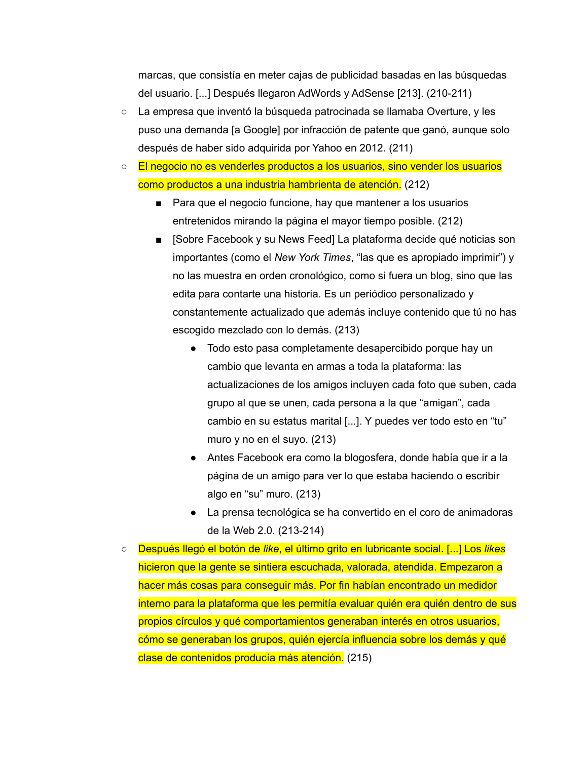marcas, que consistía en meter cajas de publicidad basadas en las búsquedas del usuario. [...] Después llegaron AdWords y AdSense [213]. (210-211)

- La empresa que inventó la búsqueda patrocinada se llamaba Overture, y les puso una demanda [a Google] por infracción de patente que ganó, aunque solo después de haber sido adquirida por Yahoo en 2012. (211)
- El negocio no es venderles productos a los usuarios, sino vender los usuarios como productos a una industria hambrienta de atención. (212)
	- Para que el negocio funcione, hay que mantener a los usuarios entretenidos mirando la página el mayor tiempo posible. (212)
	- [Sobre Facebook y su News Feed] La plataforma decide qué noticias son importantes (como el *New York Times*, "las que es apropiado imprimir") y no las muestra en orden cronológico, como si fuera un blog, sino que las edita para contarte una historia. Es un periódico personalizado y constantemente actualizado que además incluye contenido que tú no has escogido mezclado con lo demás. (213)
		- Todo esto pasa completamente desapercibido porque hay un cambio que levanta en armas a toda la plataforma: las actualizaciones de los amigos incluyen cada foto que suben, cada grupo al que se unen, cada persona a la que "amigan", cada cambio en su estatus marital [...]. Y puedes ver todo esto en "tu" muro y no en el suyo. (213)
		- Antes Facebook era como la blogosfera, donde había que ir a la página de un amigo para ver lo que estaba haciendo o escribir algo en "su" muro. (213)
		- La prensa tecnológica se ha convertido en el coro de animadoras de la Web 2.0. (213-214)
- Después llegó el botón de *like*, el último grito en lubricante social. [...] Los *likes* hicieron que la gente se sintiera escuchada, valorada, atendida. Empezaron a hacer más cosas para conseguir más. Por fin habían encontrado un medidor interno para la plataforma que les permitía evaluar quién era quién dentro de sus propios círculos y qué comportamientos generaban interés en otros usuarios, cómo se generaban los grupos, quién ejercía influencia sobre los demás y qué clase de contenidos producía más atención. (215)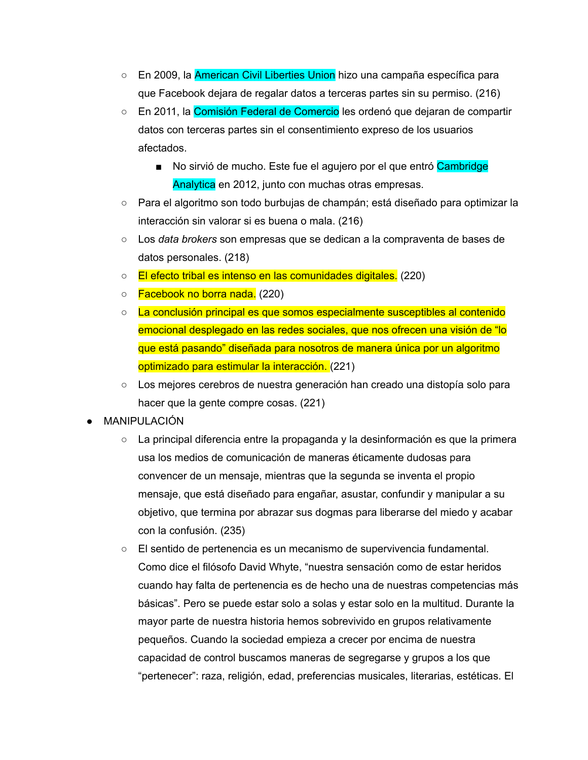- En 2009, la **American Civil Liberties Union** hizo una campaña específica para que Facebook dejara de regalar datos a terceras partes sin su permiso. (216)
- En 2011, la Comisión Federal de Comercio les ordenó que dejaran de compartir datos con terceras partes sin el consentimiento expreso de los usuarios afectados.
	- No sirvió de mucho. Este fue el agujero por el que entró Cambridge Analytica en 2012, junto con muchas otras empresas.
- Para el algoritmo son todo burbujas de champán; está diseñado para optimizar la interacción sin valorar si es buena o mala. (216)
- Los *data brokers* son empresas que se dedican a la compraventa de bases de datos personales. (218)
- El efecto tribal es intenso en las comunidades digitales. (220)
- Facebook no borra nada. (220)
- La conclusión principal es que somos especialmente susceptibles al contenido emocional desplegado en las redes sociales, que nos ofrecen una visión de "lo que está pasando" diseñada para nosotros de manera única por un algoritmo optimizado para estimular la interacción. (221)
- Los mejores cerebros de nuestra generación han creado una distopía solo para hacer que la gente compre cosas. (221)
- MANIPULACIÓN
	- La principal diferencia entre la propaganda y la desinformación es que la primera usa los medios de comunicación de maneras éticamente dudosas para convencer de un mensaje, mientras que la segunda se inventa el propio mensaje, que está diseñado para engañar, asustar, confundir y manipular a su objetivo, que termina por abrazar sus dogmas para liberarse del miedo y acabar con la confusión. (235)
	- El sentido de pertenencia es un mecanismo de supervivencia fundamental. Como dice el filósofo David Whyte, "nuestra sensación como de estar heridos cuando hay falta de pertenencia es de hecho una de nuestras competencias más básicas". Pero se puede estar solo a solas y estar solo en la multitud. Durante la mayor parte de nuestra historia hemos sobrevivido en grupos relativamente pequeños. Cuando la sociedad empieza a crecer por encima de nuestra capacidad de control buscamos maneras de segregarse y grupos a los que "pertenecer": raza, religión, edad, preferencias musicales, literarias, estéticas. El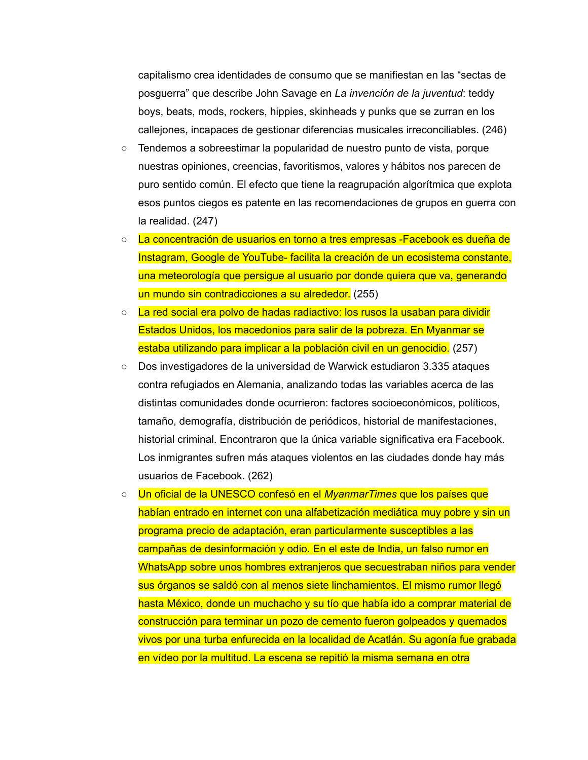capitalismo crea identidades de consumo que se manifiestan en las "sectas de posguerra" que describe John Savage en *La invención de la juventud*: teddy boys, beats, mods, rockers, hippies, skinheads y punks que se zurran en los callejones, incapaces de gestionar diferencias musicales irreconciliables. (246)

- Tendemos a sobreestimar la popularidad de nuestro punto de vista, porque nuestras opiniones, creencias, favoritismos, valores y hábitos nos parecen de puro sentido común. El efecto que tiene la reagrupación algorítmica que explota esos puntos ciegos es patente en las recomendaciones de grupos en guerra con la realidad. (247)
- La concentración de usuarios en torno a tres empresas -Facebook es dueña de Instagram, Google de YouTube- facilita la creación de un ecosistema constante, una meteorología que persigue al usuario por donde quiera que va, generando un mundo sin contradicciones a su alrededor. (255)
- La red social era polvo de hadas radiactivo: los rusos la usaban para dividir Estados Unidos, los macedonios para salir de la pobreza. En Myanmar se estaba utilizando para implicar a la población civil en un genocidio. (257)
- Dos investigadores de la universidad de Warwick estudiaron 3.335 ataques contra refugiados en Alemania, analizando todas las variables acerca de las distintas comunidades donde ocurrieron: factores socioeconómicos, políticos, tamaño, demografía, distribución de periódicos, historial de manifestaciones, historial criminal. Encontraron que la única variable significativa era Facebook. Los inmigrantes sufren más ataques violentos en las ciudades donde hay más usuarios de Facebook. (262)
- Un oficial de la UNESCO confesó en el *MyanmarTimes* que los países que habían entrado en internet con una alfabetización mediática muy pobre y sin un programa precio de adaptación, eran particularmente susceptibles a las campañas de desinformación y odio. En el este de India, un falso rumor en WhatsApp sobre unos hombres extranjeros que secuestraban niños para vender sus órganos se saldó con al menos siete linchamientos. El mismo rumor llegó hasta México, donde un muchacho y su tío que había ido a comprar material de construcción para terminar un pozo de cemento fueron golpeados y quemados vivos por una turba enfurecida en la localidad de Acatlán. Su agonía fue grabada en vídeo por la multitud. La escena se repitió la misma semana en otra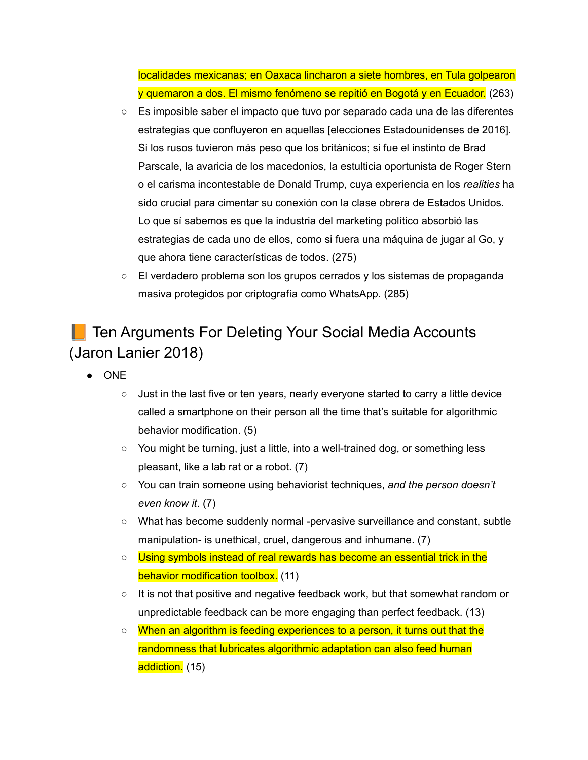localidades mexicanas; en Oaxaca lincharon a siete hombres, en Tula golpearon y quemaron a dos. El mismo fenómeno se repitió en Bogotá y en Ecuador. (263)

- Es imposible saber el impacto que tuvo por separado cada una de las diferentes estrategias que confluyeron en aquellas [elecciones Estadounidenses de 2016]. Si los rusos tuvieron más peso que los británicos; si fue el instinto de Brad Parscale, la avaricia de los macedonios, la estulticia oportunista de Roger Stern o el carisma incontestable de Donald Trump, cuya experiencia en los *realities* ha sido crucial para cimentar su conexión con la clase obrera de Estados Unidos. Lo que sí sabemos es que la industria del marketing político absorbió las estrategias de cada uno de ellos, como si fuera una máquina de jugar al Go, y que ahora tiene características de todos. (275)
- El verdadero problema son los grupos cerrados y los sistemas de propaganda masiva protegidos por criptografía como WhatsApp. (285)

#### Ten Arguments For Deleting Your Social Media Accounts (Jaron Lanier 2018)

- ONE
	- $\circ$  Just in the last five or ten years, nearly everyone started to carry a little device called a smartphone on their person all the time that's suitable for algorithmic behavior modification. (5)
	- You might be turning, just a little, into a well-trained dog, or something less pleasant, like a lab rat or a robot. (7)
	- You can train someone using behaviorist techniques, *and the person doesn't even know it*. (7)
	- What has become suddenly normal -pervasive surveillance and constant, subtle manipulation- is unethical, cruel, dangerous and inhumane. (7)
	- Using symbols instead of real rewards has become an essential trick in the behavior modification toolbox. (11)
	- $\circ$  It is not that positive and negative feedback work, but that somewhat random or unpredictable feedback can be more engaging than perfect feedback. (13)
	- When an algorithm is feeding experiences to a person, it turns out that the randomness that lubricates algorithmic adaptation can also feed human addiction. (15)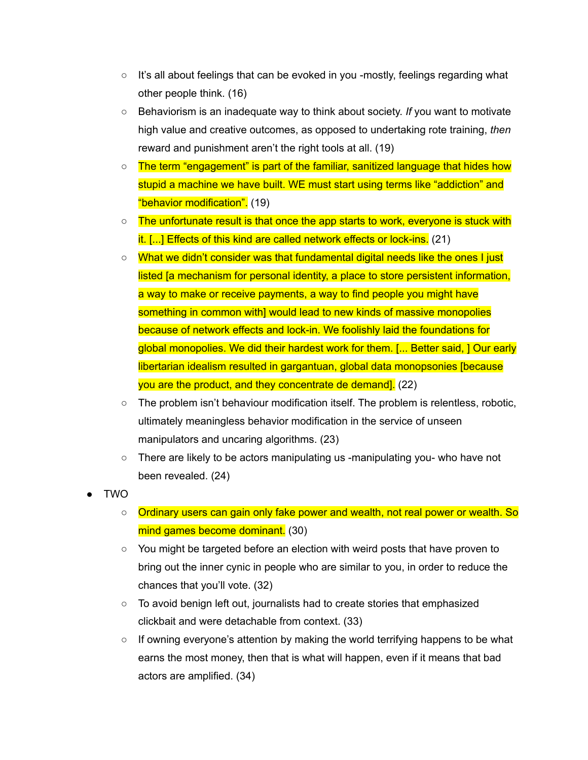- $\circ$  It's all about feelings that can be evoked in you -mostly, feelings regarding what other people think. (16)
- Behaviorism is an inadequate way to think about society. *If* you want to motivate high value and creative outcomes, as opposed to undertaking rote training, *then* reward and punishment aren't the right tools at all. (19)
- The term "engagement" is part of the familiar, sanitized language that hides how stupid a machine we have built. WE must start using terms like "addiction" and "behavior modification". (19)
- The unfortunate result is that once the app starts to work, everyone is stuck with it. [...] Effects of this kind are called network effects or lock-ins. (21)
- What we didn't consider was that fundamental digital needs like the ones I just listed [a mechanism for personal identity, a place to store persistent information, a way to make or receive payments, a way to find people you might have something in common with] would lead to new kinds of massive monopolies because of network effects and lock-in. We foolishly laid the foundations for global monopolies. We did their hardest work for them. [... Better said, ] Our early libertarian idealism resulted in gargantuan, global data monopsonies [because you are the product, and they concentrate de demand]. (22)
- $\circ$  The problem isn't behaviour modification itself. The problem is relentless, robotic, ultimately meaningless behavior modification in the service of unseen manipulators and uncaring algorithms. (23)
- $\circ$  There are likely to be actors manipulating us -manipulating you- who have not been revealed. (24)
- TWO
	- Ordinary users can gain only fake power and wealth, not real power or wealth. So mind games become dominant. (30)
	- You might be targeted before an election with weird posts that have proven to bring out the inner cynic in people who are similar to you, in order to reduce the chances that you'll vote. (32)
	- $\circ$  To avoid benign left out, journalists had to create stories that emphasized clickbait and were detachable from context. (33)
	- $\circ$  If owning everyone's attention by making the world terrifying happens to be what earns the most money, then that is what will happen, even if it means that bad actors are amplified. (34)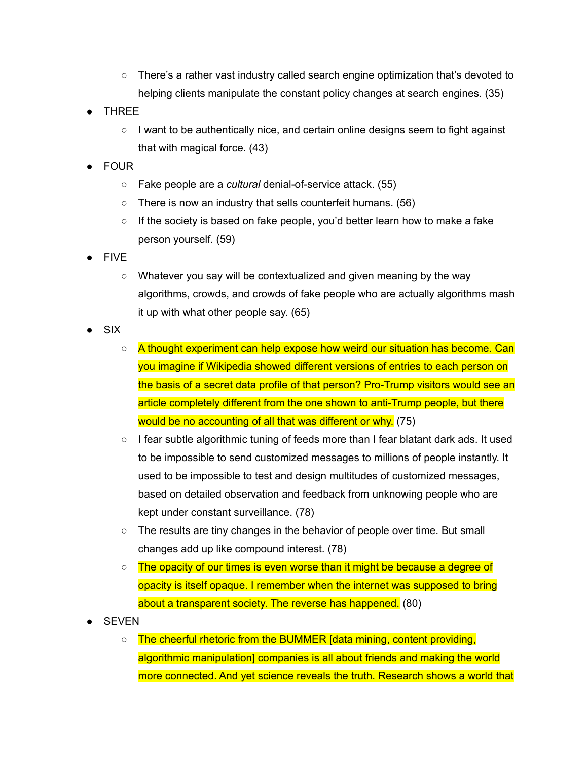- $\circ$  There's a rather vast industry called search engine optimization that's devoted to helping clients manipulate the constant policy changes at search engines. (35)
- **THREE** 
	- I want to be authentically nice, and certain online designs seem to fight against that with magical force. (43)
- **FOUR** 
	- Fake people are a *cultural* denial-of-service attack. (55)
	- $\circ$  There is now an industry that sells counterfeit humans. (56)
	- If the society is based on fake people, you'd better learn how to make a fake person yourself. (59)
- FIVE
	- $\circ$  Whatever you say will be contextualized and given meaning by the way algorithms, crowds, and crowds of fake people who are actually algorithms mash it up with what other people say. (65)
- **SIX** 
	- A thought experiment can help expose how weird our situation has become. Can you imagine if Wikipedia showed different versions of entries to each person on the basis of a secret data profile of that person? Pro-Trump visitors would see an article completely different from the one shown to anti-Trump people, but there would be no accounting of all that was different or why. (75)
	- I fear subtle algorithmic tuning of feeds more than I fear blatant dark ads. It used to be impossible to send customized messages to millions of people instantly. It used to be impossible to test and design multitudes of customized messages, based on detailed observation and feedback from unknowing people who are kept under constant surveillance. (78)
	- The results are tiny changes in the behavior of people over time. But small changes add up like compound interest. (78)
	- The opacity of our times is even worse than it might be because a degree of opacity is itself opaque. I remember when the internet was supposed to bring about a transparent society. The reverse has happened. (80)
- **SEVEN** 
	- The cheerful rhetoric from the BUMMER [data mining, content providing, algorithmic manipulation] companies is all about friends and making the world more connected. And yet science reveals the truth. Research shows a world that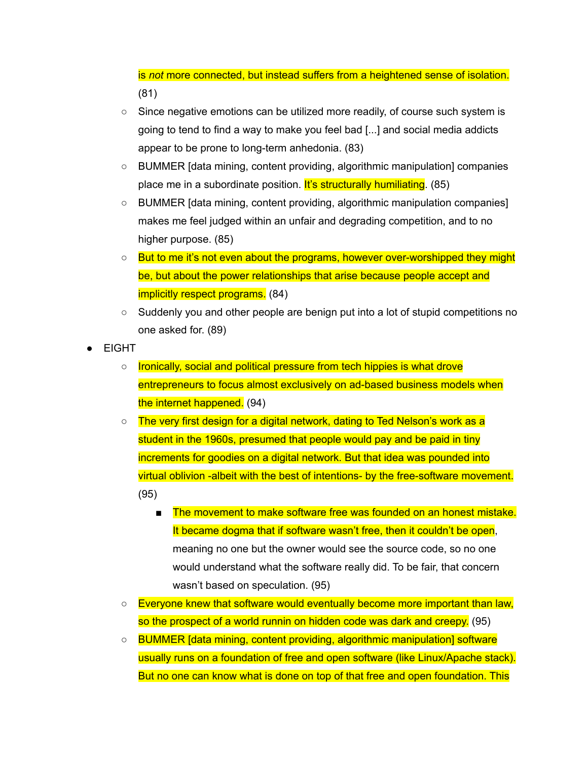is *not* more connected, but instead suffers from a heightened sense of isolation. (81)

- Since negative emotions can be utilized more readily, of course such system is going to tend to find a way to make you feel bad [...] and social media addicts appear to be prone to long-term anhedonia. (83)
- BUMMER [data mining, content providing, algorithmic manipulation] companies place me in a subordinate position. It's structurally humiliating.  $(85)$
- BUMMER [data mining, content providing, algorithmic manipulation companies] makes me feel judged within an unfair and degrading competition, and to no higher purpose. (85)
- o But to me it's not even about the programs, however over-worshipped they might be, but about the power relationships that arise because people accept and implicitly respect programs. (84)
- Suddenly you and other people are benign put into a lot of stupid competitions no one asked for. (89)
- **EIGHT** 
	- Ironically, social and political pressure from tech hippies is what drove entrepreneurs to focus almost exclusively on ad-based business models when the internet happened. (94)
	- The very first design for a digital network, dating to Ted Nelson's work as a student in the 1960s, presumed that people would pay and be paid in tiny increments for goodies on a digital network. But that idea was pounded into virtual oblivion -albeit with the best of intentions- by the free-software movement. (95)
		- The movement to make software free was founded on an honest mistake. It became dogma that if software wasn't free, then it couldn't be open, meaning no one but the owner would see the source code, so no one would understand what the software really did. To be fair, that concern wasn't based on speculation. (95)
	- Everyone knew that software would eventually become more important than law, so the prospect of a world runnin on hidden code was dark and creepy. (95)
	- BUMMER [data mining, content providing, algorithmic manipulation] software usually runs on a foundation of free and open software (like Linux/Apache stack). But no one can know what is done on top of that free and open foundation. This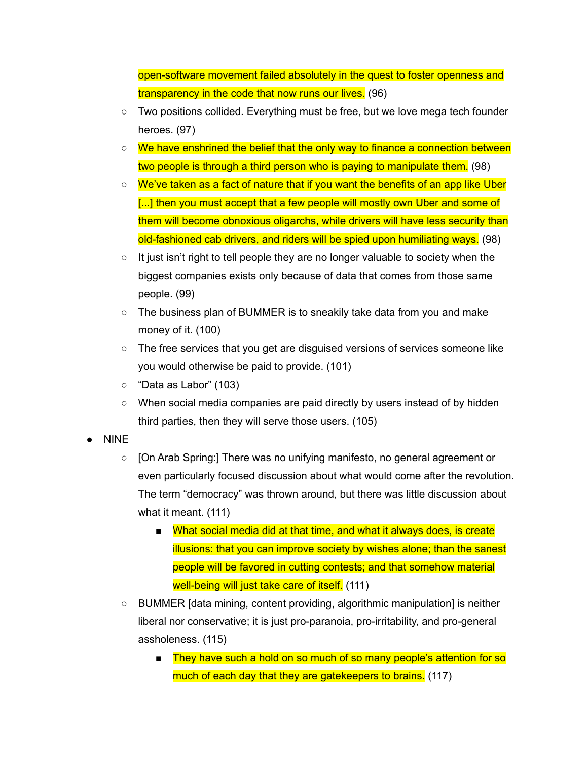open-software movement failed absolutely in the quest to foster openness and transparency in the code that now runs our lives. (96)

- Two positions collided. Everything must be free, but we love mega tech founder heroes. (97)
- We have enshrined the belief that the only way to finance a connection between two people is through a third person who is paying to manipulate them. (98)
- We've taken as a fact of nature that if you want the benefits of an app like Uber [...] then you must accept that a few people will mostly own Uber and some of them will become obnoxious oligarchs, while drivers will have less security than old-fashioned cab drivers, and riders will be spied upon humiliating ways. (98)
- $\circ$  It just isn't right to tell people they are no longer valuable to society when the biggest companies exists only because of data that comes from those same people. (99)
- $\circ$  The business plan of BUMMER is to sneakily take data from you and make money of it. (100)
- The free services that you get are disguised versions of services someone like you would otherwise be paid to provide. (101)
- "Data as Labor" (103)
- $\circ$  When social media companies are paid directly by users instead of by hidden third parties, then they will serve those users. (105)
- **NINE** 
	- [On Arab Spring:] There was no unifying manifesto, no general agreement or even particularly focused discussion about what would come after the revolution. The term "democracy" was thrown around, but there was little discussion about what it meant. (111)
		- What social media did at that time, and what it always does, is create illusions: that you can improve society by wishes alone; than the sanest people will be favored in cutting contests; and that somehow material well-being will just take care of itself. (111)
	- BUMMER [data mining, content providing, algorithmic manipulation] is neither liberal nor conservative; it is just pro-paranoia, pro-irritability, and pro-general assholeness. (115)
		- They have such a hold on so much of so many people's attention for so much of each day that they are gatekeepers to brains. (117)